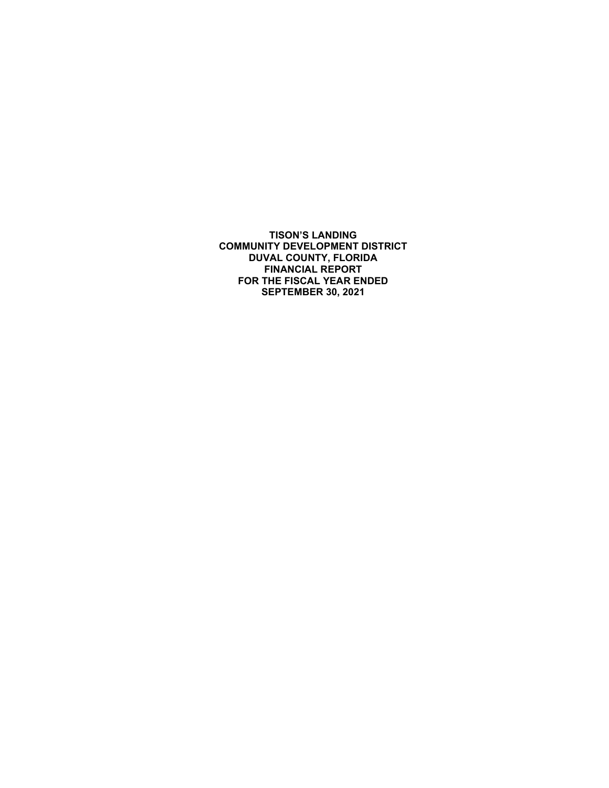**TISON'S LANDING COMMUNITY DEVELOPMENT DISTRICT DUVAL COUNTY, FLORIDA FINANCIAL REPORT FOR THE FISCAL YEAR ENDED SEPTEMBER 30, 2021**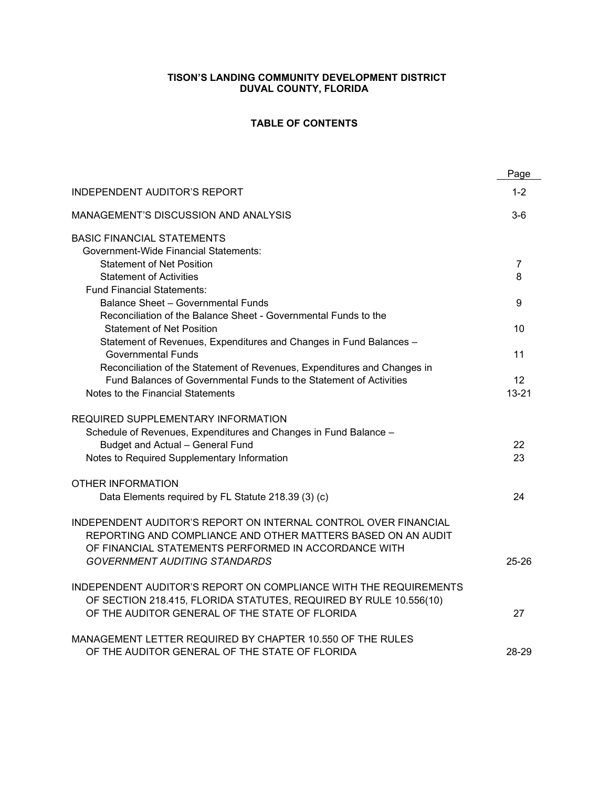## **TISON'S LANDING COMMUNITY DEVELOPMENT DISTRICT DUVAL COUNTY, FLORIDA**

# **TABLE OF CONTENTS**

|                                                                          | Page      |
|--------------------------------------------------------------------------|-----------|
| <b>INDEPENDENT AUDITOR'S REPORT</b>                                      | $1 - 2$   |
| <b>MANAGEMENT'S DISCUSSION AND ANALYSIS</b>                              | $3-6$     |
| <b>BASIC FINANCIAL STATEMENTS</b>                                        |           |
| <b>Government-Wide Financial Statements:</b>                             |           |
| <b>Statement of Net Position</b>                                         | 7         |
| <b>Statement of Activities</b>                                           | 8         |
| <b>Fund Financial Statements:</b>                                        |           |
| <b>Balance Sheet - Governmental Funds</b>                                | 9         |
| Reconciliation of the Balance Sheet - Governmental Funds to the          |           |
| <b>Statement of Net Position</b>                                         | 10        |
| Statement of Revenues, Expenditures and Changes in Fund Balances -       |           |
| <b>Governmental Funds</b>                                                | 11        |
| Reconciliation of the Statement of Revenues, Expenditures and Changes in |           |
| Fund Balances of Governmental Funds to the Statement of Activities       | 12        |
| Notes to the Financial Statements                                        | $13 - 21$ |
|                                                                          |           |
| REQUIRED SUPPLEMENTARY INFORMATION                                       |           |
| Schedule of Revenues, Expenditures and Changes in Fund Balance -         |           |
| <b>Budget and Actual - General Fund</b>                                  | 22        |
| Notes to Required Supplementary Information                              | 23        |
| <b>OTHER INFORMATION</b>                                                 |           |
| Data Elements required by FL Statute 218.39 (3) (c)                      | 24        |
|                                                                          |           |
| INDEPENDENT AUDITOR'S REPORT ON INTERNAL CONTROL OVER FINANCIAL          |           |
| REPORTING AND COMPLIANCE AND OTHER MATTERS BASED ON AN AUDIT             |           |
| OF FINANCIAL STATEMENTS PERFORMED IN ACCORDANCE WITH                     |           |
| <b>GOVERNMENT AUDITING STANDARDS</b>                                     | 25-26     |
|                                                                          |           |
| INDEPENDENT AUDITOR'S REPORT ON COMPLIANCE WITH THE REQUIREMENTS         |           |
| OF SECTION 218.415, FLORIDA STATUTES, REQUIRED BY RULE 10.556(10)        |           |
| OF THE AUDITOR GENERAL OF THE STATE OF FLORIDA                           | 27        |
| MANAGEMENT LETTER REQUIRED BY CHAPTER 10.550 OF THE RULES                |           |
| OF THE AUDITOR GENERAL OF THE STATE OF FLORIDA                           | 28-29     |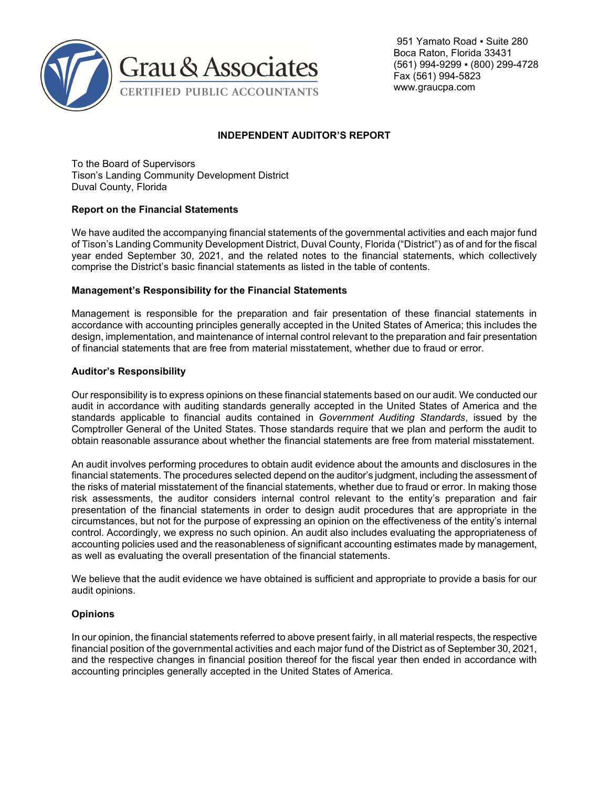

 951 Yamato Road ▪ Suite 280 Boca Raton, Florida 33431 (561) 994-9299 ▪ (800) 299-4728 Fax (561) 994-5823 www.graucpa.com

## **INDEPENDENT AUDITOR'S REPORT**

To the Board of Supervisors Tison's Landing Community Development District Duval County, Florida

### **Report on the Financial Statements**

We have audited the accompanying financial statements of the governmental activities and each major fund of Tison's Landing Community Development District, Duval County, Florida ("District") as of and for the fiscal year ended September 30, 2021, and the related notes to the financial statements, which collectively comprise the District's basic financial statements as listed in the table of contents.

### **Management's Responsibility for the Financial Statements**

Management is responsible for the preparation and fair presentation of these financial statements in accordance with accounting principles generally accepted in the United States of America; this includes the design, implementation, and maintenance of internal control relevant to the preparation and fair presentation of financial statements that are free from material misstatement, whether due to fraud or error.

#### **Auditor's Responsibility**

Our responsibility is to express opinions on these financial statements based on our audit. We conducted our audit in accordance with auditing standards generally accepted in the United States of America and the standards applicable to financial audits contained in *Government Auditing Standards*, issued by the Comptroller General of the United States. Those standards require that we plan and perform the audit to obtain reasonable assurance about whether the financial statements are free from material misstatement.

An audit involves performing procedures to obtain audit evidence about the amounts and disclosures in the financial statements. The procedures selected depend on the auditor's judgment, including the assessment of the risks of material misstatement of the financial statements, whether due to fraud or error. In making those risk assessments, the auditor considers internal control relevant to the entity's preparation and fair presentation of the financial statements in order to design audit procedures that are appropriate in the circumstances, but not for the purpose of expressing an opinion on the effectiveness of the entity's internal control. Accordingly, we express no such opinion. An audit also includes evaluating the appropriateness of accounting policies used and the reasonableness of significant accounting estimates made by management, as well as evaluating the overall presentation of the financial statements.

We believe that the audit evidence we have obtained is sufficient and appropriate to provide a basis for our audit opinions.

#### **Opinions**

In our opinion, the financial statements referred to above present fairly, in all material respects, the respective financial position of the governmental activities and each major fund of the District as of September 30, 2021, and the respective changes in financial position thereof for the fiscal year then ended in accordance with accounting principles generally accepted in the United States of America.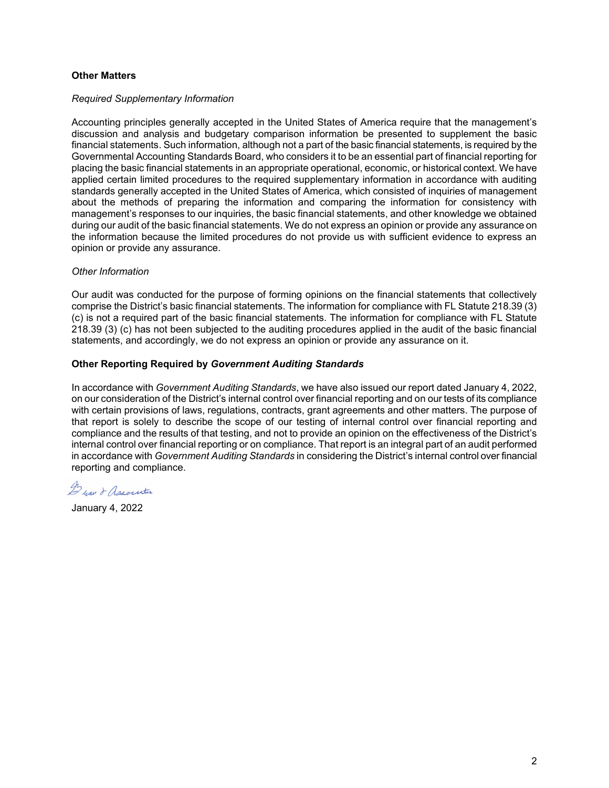#### **Other Matters**

#### *Required Supplementary Information*

Accounting principles generally accepted in the United States of America require that the management's discussion and analysis and budgetary comparison information be presented to supplement the basic financial statements. Such information, although not a part of the basic financial statements, is required by the Governmental Accounting Standards Board, who considers it to be an essential part of financial reporting for placing the basic financial statements in an appropriate operational, economic, or historical context. We have applied certain limited procedures to the required supplementary information in accordance with auditing standards generally accepted in the United States of America, which consisted of inquiries of management about the methods of preparing the information and comparing the information for consistency with management's responses to our inquiries, the basic financial statements, and other knowledge we obtained during our audit of the basic financial statements. We do not express an opinion or provide any assurance on the information because the limited procedures do not provide us with sufficient evidence to express an opinion or provide any assurance.

#### *Other Information*

Our audit was conducted for the purpose of forming opinions on the financial statements that collectively comprise the District's basic financial statements. The information for compliance with FL Statute 218.39 (3) (c) is not a required part of the basic financial statements. The information for compliance with FL Statute 218.39 (3) (c) has not been subjected to the auditing procedures applied in the audit of the basic financial statements, and accordingly, we do not express an opinion or provide any assurance on it.

#### **Other Reporting Required by** *Government Auditing Standards*

In accordance with *Government Auditing Standards*, we have also issued our report dated January 4, 2022, on our consideration of the District's internal control over financial reporting and on our tests of its compliance with certain provisions of laws, regulations, contracts, grant agreements and other matters. The purpose of that report is solely to describe the scope of our testing of internal control over financial reporting and compliance and the results of that testing, and not to provide an opinion on the effectiveness of the District's internal control over financial reporting or on compliance. That report is an integral part of an audit performed in accordance with *Government Auditing Standards* in considering the District's internal control over financial reporting and compliance.

Derau & Association

January 4, 2022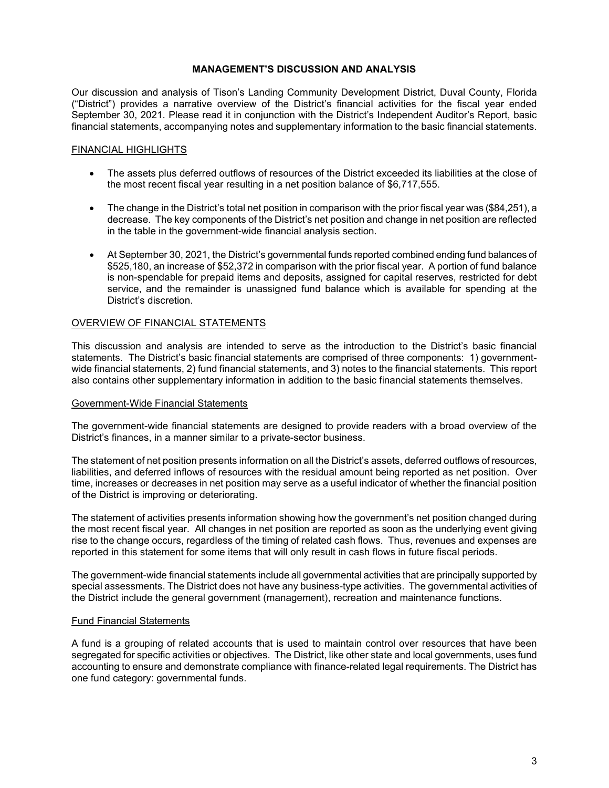### **MANAGEMENT'S DISCUSSION AND ANALYSIS**

Our discussion and analysis of Tison's Landing Community Development District, Duval County, Florida ("District") provides a narrative overview of the District's financial activities for the fiscal year ended September 30, 2021. Please read it in conjunction with the District's Independent Auditor's Report, basic financial statements, accompanying notes and supplementary information to the basic financial statements.

### FINANCIAL HIGHLIGHTS

- The assets plus deferred outflows of resources of the District exceeded its liabilities at the close of the most recent fiscal year resulting in a net position balance of \$6,717,555.
- The change in the District's total net position in comparison with the prior fiscal year was (\$84,251), a decrease. The key components of the District's net position and change in net position are reflected in the table in the government-wide financial analysis section.
- At September 30, 2021, the District's governmental funds reported combined ending fund balances of \$525,180, an increase of \$52,372 in comparison with the prior fiscal year. A portion of fund balance is non-spendable for prepaid items and deposits, assigned for capital reserves, restricted for debt service, and the remainder is unassigned fund balance which is available for spending at the District's discretion.

#### OVERVIEW OF FINANCIAL STATEMENTS

This discussion and analysis are intended to serve as the introduction to the District's basic financial statements. The District's basic financial statements are comprised of three components: 1) governmentwide financial statements, 2) fund financial statements, and 3) notes to the financial statements. This report also contains other supplementary information in addition to the basic financial statements themselves.

#### Government-Wide Financial Statements

The government-wide financial statements are designed to provide readers with a broad overview of the District's finances, in a manner similar to a private-sector business.

The statement of net position presents information on all the District's assets, deferred outflows of resources, liabilities, and deferred inflows of resources with the residual amount being reported as net position. Over time, increases or decreases in net position may serve as a useful indicator of whether the financial position of the District is improving or deteriorating.

The statement of activities presents information showing how the government's net position changed during the most recent fiscal year. All changes in net position are reported as soon as the underlying event giving rise to the change occurs, regardless of the timing of related cash flows. Thus, revenues and expenses are reported in this statement for some items that will only result in cash flows in future fiscal periods.

The government-wide financial statements include all governmental activities that are principally supported by special assessments. The District does not have any business-type activities. The governmental activities of the District include the general government (management), recreation and maintenance functions.

#### Fund Financial Statements

A fund is a grouping of related accounts that is used to maintain control over resources that have been segregated for specific activities or objectives. The District, like other state and local governments, uses fund accounting to ensure and demonstrate compliance with finance-related legal requirements. The District has one fund category: governmental funds.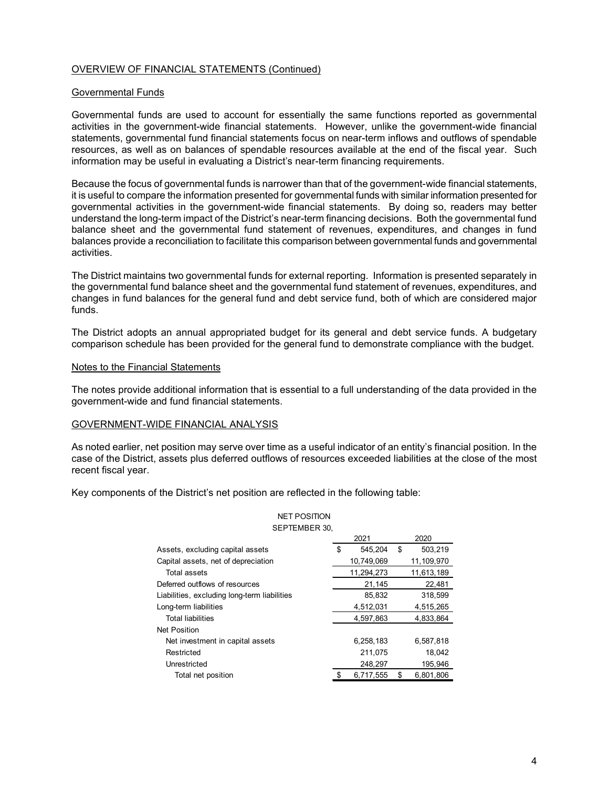## OVERVIEW OF FINANCIAL STATEMENTS (Continued)

#### Governmental Funds

Governmental funds are used to account for essentially the same functions reported as governmental activities in the government-wide financial statements. However, unlike the government-wide financial statements, governmental fund financial statements focus on near-term inflows and outflows of spendable resources, as well as on balances of spendable resources available at the end of the fiscal year. Such information may be useful in evaluating a District's near-term financing requirements.

Because the focus of governmental funds is narrower than that of the government-wide financial statements, it is useful to compare the information presented for governmental funds with similar information presented for governmental activities in the government-wide financial statements. By doing so, readers may better understand the long-term impact of the District's near-term financing decisions. Both the governmental fund balance sheet and the governmental fund statement of revenues, expenditures, and changes in fund balances provide a reconciliation to facilitate this comparison between governmental funds and governmental activities.

The District maintains two governmental funds for external reporting. Information is presented separately in the governmental fund balance sheet and the governmental fund statement of revenues, expenditures, and changes in fund balances for the general fund and debt service fund, both of which are considered major funds.

The District adopts an annual appropriated budget for its general and debt service funds. A budgetary comparison schedule has been provided for the general fund to demonstrate compliance with the budget.

#### Notes to the Financial Statements

The notes provide additional information that is essential to a full understanding of the data provided in the government-wide and fund financial statements.

#### GOVERNMENT-WIDE FINANCIAL ANALYSIS

As noted earlier, net position may serve over time as a useful indicator of an entity's financial position. In the case of the District, assets plus deferred outflows of resources exceeded liabilities at the close of the most recent fiscal year.

Key components of the District's net position are reflected in the following table:

|                                              |    | 2021       |    | 2020       |
|----------------------------------------------|----|------------|----|------------|
| Assets, excluding capital assets             | \$ | 545,204    | \$ | 503,219    |
| Capital assets, net of depreciation          |    | 10,749,069 |    | 11,109,970 |
| Total assets                                 |    | 11,294,273 |    | 11,613,189 |
| Deferred outflows of resources               |    | 21,145     |    | 22,481     |
| Liabilities, excluding long-term liabilities |    | 85,832     |    | 318,599    |
| Long-term liabilities                        |    | 4,512,031  |    | 4,515,265  |
| <b>Total liabilities</b>                     |    | 4.597.863  |    | 4.833.864  |
| Net Position                                 |    |            |    |            |
| Net investment in capital assets             |    | 6,258,183  |    | 6,587,818  |
| Restricted                                   |    | 211,075    |    | 18.042     |
| Unrestricted                                 |    | 248,297    |    | 195,946    |
| Total net position                           | S  | 6,717,555  | S  | 6,801,806  |

#### NET POSITION SEPTEMBER 30,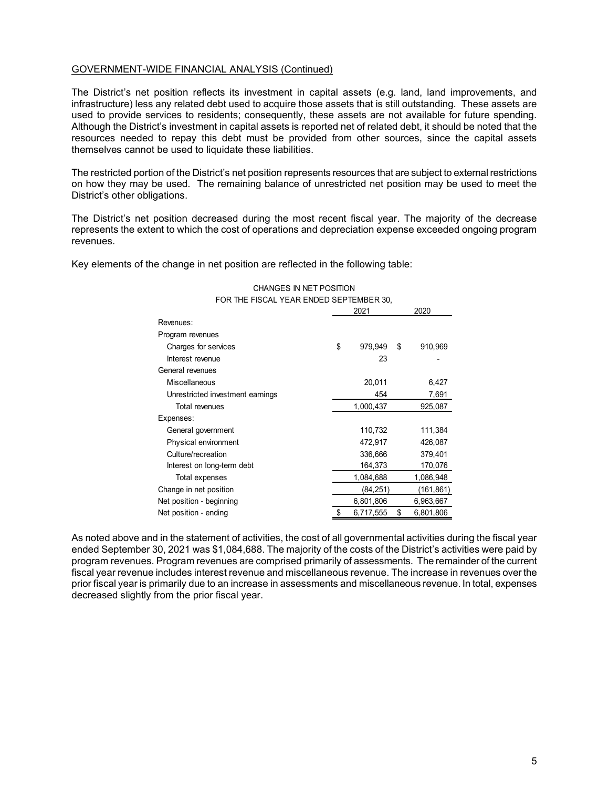### GOVERNMENT-WIDE FINANCIAL ANALYSIS (Continued)

The District's net position reflects its investment in capital assets (e.g. land, land improvements, and infrastructure) less any related debt used to acquire those assets that is still outstanding. These assets are used to provide services to residents; consequently, these assets are not available for future spending. Although the District's investment in capital assets is reported net of related debt, it should be noted that the resources needed to repay this debt must be provided from other sources, since the capital assets themselves cannot be used to liquidate these liabilities.

The restricted portion of the District's net position represents resources that are subject to external restrictions on how they may be used. The remaining balance of unrestricted net position may be used to meet the District's other obligations.

The District's net position decreased during the most recent fiscal year. The majority of the decrease represents the extent to which the cost of operations and depreciation expense exceeded ongoing program revenues.

Key elements of the change in net position are reflected in the following table:

| FUR THE FISCAL YEAR ENDED SEPTEMBER 30. |                 |                 |
|-----------------------------------------|-----------------|-----------------|
|                                         | 2021            | 2020            |
| Revenues:                               |                 |                 |
| Program revenues                        |                 |                 |
| Charges for services                    | \$<br>979,949   | \$<br>910,969   |
| Interest revenue                        | 23              |                 |
| General revenues                        |                 |                 |
| Miscellaneous                           | 20,011          | 6,427           |
| Unrestricted investment earnings        | 454             | 7,691           |
| Total revenues                          | 1,000,437       | 925,087         |
| Expenses:                               |                 |                 |
| General government                      | 110,732         | 111,384         |
| Physical environment                    | 472,917         | 426,087         |
| Culture/recreation                      | 336,666         | 379,401         |
| Interest on long-term debt              | 164,373         | 170,076         |
| Total expenses                          | 1,084,688       | 1,086,948       |
| Change in net position                  | (84,251)        | (161,861)       |
| Net position - beginning                | 6,801,806       | 6,963,667       |
| Net position - ending                   | \$<br>6,717,555 | \$<br>6,801,806 |

#### FOR THE FISCAL YEAR ENDED SEPTEMBER 30, CHANGES IN NET POSITION

As noted above and in the statement of activities, the cost of all governmental activities during the fiscal year ended September 30, 2021 was \$1,084,688. The majority of the costs of the District's activities were paid by program revenues. Program revenues are comprised primarily of assessments. The remainder of the current fiscal year revenue includes interest revenue and miscellaneous revenue. The increase in revenues over the prior fiscal year is primarily due to an increase in assessments and miscellaneous revenue. In total, expenses decreased slightly from the prior fiscal year.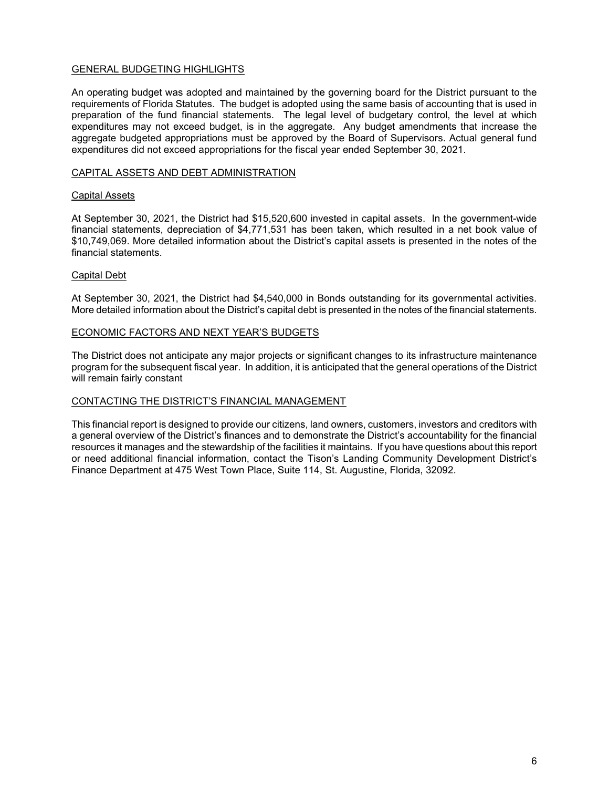## GENERAL BUDGETING HIGHLIGHTS

An operating budget was adopted and maintained by the governing board for the District pursuant to the requirements of Florida Statutes. The budget is adopted using the same basis of accounting that is used in preparation of the fund financial statements. The legal level of budgetary control, the level at which expenditures may not exceed budget, is in the aggregate. Any budget amendments that increase the aggregate budgeted appropriations must be approved by the Board of Supervisors. Actual general fund expenditures did not exceed appropriations for the fiscal year ended September 30, 2021.

#### CAPITAL ASSETS AND DEBT ADMINISTRATION

#### Capital Assets

At September 30, 2021, the District had \$15,520,600 invested in capital assets. In the government-wide financial statements, depreciation of \$4,771,531 has been taken, which resulted in a net book value of \$10,749,069. More detailed information about the District's capital assets is presented in the notes of the financial statements.

#### Capital Debt

At September 30, 2021, the District had \$4,540,000 in Bonds outstanding for its governmental activities. More detailed information about the District's capital debt is presented in the notes of the financial statements.

#### ECONOMIC FACTORS AND NEXT YEAR'S BUDGETS

The District does not anticipate any major projects or significant changes to its infrastructure maintenance program for the subsequent fiscal year. In addition, it is anticipated that the general operations of the District will remain fairly constant

#### CONTACTING THE DISTRICT'S FINANCIAL MANAGEMENT

This financial report is designed to provide our citizens, land owners, customers, investors and creditors with a general overview of the District's finances and to demonstrate the District's accountability for the financial resources it manages and the stewardship of the facilities it maintains. If you have questions about this report or need additional financial information, contact the Tison's Landing Community Development District's Finance Department at 475 West Town Place, Suite 114, St. Augustine, Florida, 32092.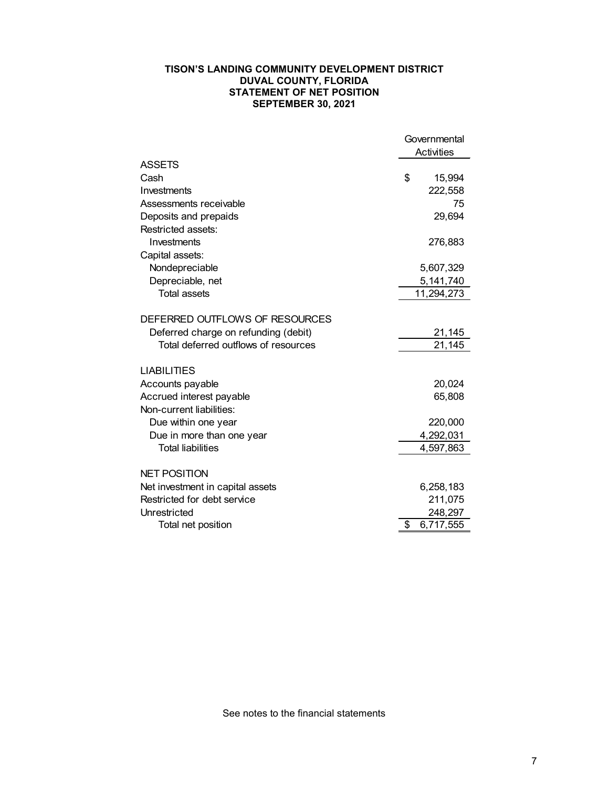### **TISON'S LANDING COMMUNITY DEVELOPMENT DISTRICT DUVAL COUNTY, FLORIDA STATEMENT OF NET POSITION SEPTEMBER 30, 2021**

|                                      | Governmental |             |  |
|--------------------------------------|--------------|-------------|--|
|                                      | Activities   |             |  |
| <b>ASSETS</b>                        |              |             |  |
| Cash                                 | \$           | 15,994      |  |
| Investments                          |              | 222,558     |  |
| Assessments receivable               |              | 75          |  |
| Deposits and prepaids                |              | 29,694      |  |
| Restricted assets:                   |              |             |  |
| Investments                          |              | 276,883     |  |
| Capital assets:                      |              |             |  |
| Nondepreciable                       |              | 5,607,329   |  |
| Depreciable, net                     |              | 5, 141, 740 |  |
| <b>Total assets</b>                  |              | 11,294,273  |  |
|                                      |              |             |  |
| DEFERRED OUTFLOWS OF RESOURCES       |              |             |  |
| Deferred charge on refunding (debit) |              | 21,145      |  |
| Total deferred outflows of resources |              | 21,145      |  |
|                                      |              |             |  |
| <b>LIABILITIES</b>                   |              |             |  |
| Accounts payable                     |              | 20,024      |  |
| Accrued interest payable             |              | 65,808      |  |
| Non-current liabilities:             |              |             |  |
| Due within one year                  |              | 220,000     |  |
| Due in more than one year            |              | 4,292,031   |  |
| <b>Total liabilities</b>             |              | 4,597,863   |  |
|                                      |              |             |  |
| <b>NET POSITION</b>                  |              |             |  |
| Net investment in capital assets     |              | 6,258,183   |  |
| Restricted for debt service          |              | 211,075     |  |
| Unrestricted                         |              | 248,297     |  |
| Total net position                   | \$           | 6,717,555   |  |

See notes to the financial statements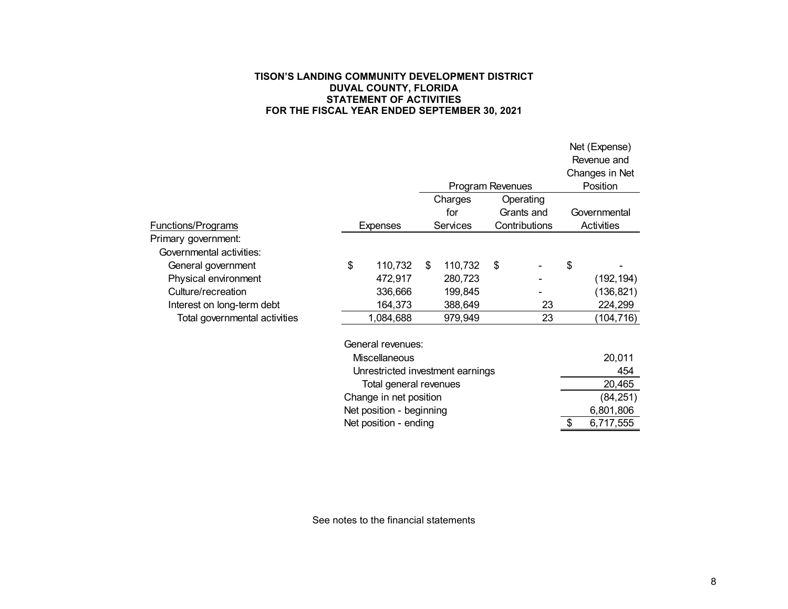#### **TISON'S LANDING COMMUNITY DEVELOPMENT DISTRICT DUVAL COUNTY, FLORIDA STATEMENT OF ACTIVITIES FOR THE FISCAL YEAR ENDED SEPTEMBER 30, 2021**

|                                  |    |                          |    |                         |    |               |          | Net (Expense)  |  |
|----------------------------------|----|--------------------------|----|-------------------------|----|---------------|----------|----------------|--|
|                                  |    |                          |    |                         |    |               |          | Revenue and    |  |
|                                  |    |                          |    |                         |    |               |          | Changes in Net |  |
|                                  |    |                          |    | <b>Program Revenues</b> |    |               | Position |                |  |
|                                  |    |                          |    | Charges                 |    | Operating     |          |                |  |
|                                  |    |                          |    | for                     |    | Grants and    |          | Governmental   |  |
| <b>Functions/Programs</b>        |    | <b>Expenses</b>          |    | Services                |    | Contributions |          | Activities     |  |
| Primary government:              |    |                          |    |                         |    |               |          |                |  |
| Governmental activities:         |    |                          |    |                         |    |               |          |                |  |
| General government               | \$ | 110,732                  | \$ | 110,732                 | \$ |               | \$       |                |  |
| Physical environment             |    | 472,917                  |    | 280,723                 |    |               |          | (192, 194)     |  |
| Culture/recreation               |    | 336,666                  |    | 199,845                 |    |               |          | (136, 821)     |  |
| Interest on long-term debt       |    | 164,373                  |    | 388,649                 |    | 23            |          | 224,299        |  |
| Total governmental activities    |    | 1,084,688                |    | 979,949                 |    | 23            |          | (104,716)      |  |
|                                  |    |                          |    |                         |    |               |          |                |  |
|                                  |    | General revenues:        |    |                         |    |               |          |                |  |
|                                  |    | Miscellaneous            |    |                         |    |               |          | 20,011         |  |
| Unrestricted investment earnings |    |                          |    |                         |    |               | 454      |                |  |
| Total general revenues           |    |                          |    |                         |    |               |          | 20,465         |  |
| Change in net position           |    |                          |    |                         |    |               |          | (84, 251)      |  |
|                                  |    | Net position - beginning |    |                         |    |               |          | 6,801,806      |  |
|                                  |    | Net position - ending    |    |                         |    |               | \$       | 6,717,555      |  |

See notes to the financial statements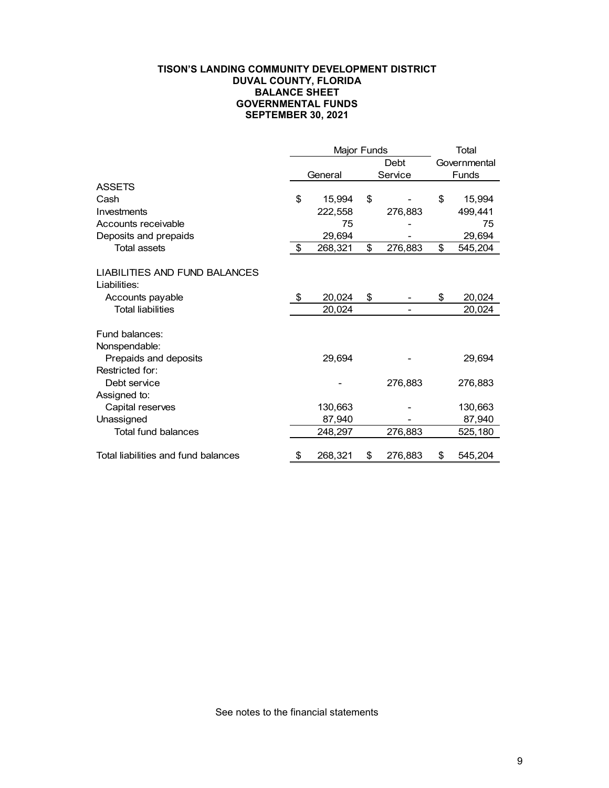#### **TISON'S LANDING COMMUNITY DEVELOPMENT DISTRICT DUVAL COUNTY, FLORIDA BALANCE SHEET GOVERNMENTAL FUNDS SEPTEMBER 30, 2021**

|                                     |      | Major Funds | Total |         |              |              |  |  |
|-------------------------------------|------|-------------|-------|---------|--------------|--------------|--|--|
|                                     | Debt |             |       |         |              | Governmental |  |  |
|                                     |      | General     |       | Service | <b>Funds</b> |              |  |  |
| <b>ASSETS</b>                       |      |             |       |         |              |              |  |  |
| Cash                                | \$   | 15,994      | \$    |         | \$           | 15,994       |  |  |
| Investments                         |      | 222,558     |       | 276,883 |              | 499,441      |  |  |
| Accounts receivable                 |      | 75          |       |         |              | 75           |  |  |
| Deposits and prepaids               |      | 29,694      |       |         |              | 29,694       |  |  |
| <b>Total assets</b>                 | \$   | 268,321     | \$    | 276,883 | \$           | 545,204      |  |  |
|                                     |      |             |       |         |              |              |  |  |
| LIABILITIES AND FUND BALANCES       |      |             |       |         |              |              |  |  |
| Liabilities:                        |      |             |       |         |              |              |  |  |
| Accounts payable                    | \$   | 20,024      | \$    |         | \$           | 20,024       |  |  |
| <b>Total liabilities</b>            |      | 20,024      |       |         |              | 20,024       |  |  |
|                                     |      |             |       |         |              |              |  |  |
| Fund balances:                      |      |             |       |         |              |              |  |  |
| Nonspendable:                       |      |             |       |         |              |              |  |  |
| Prepaids and deposits               |      | 29,694      |       |         |              | 29,694       |  |  |
| Restricted for:                     |      |             |       |         |              |              |  |  |
| Debt service                        |      |             |       | 276,883 |              | 276,883      |  |  |
| Assigned to:                        |      |             |       |         |              |              |  |  |
| Capital reserves                    |      | 130,663     |       |         |              | 130,663      |  |  |
| Unassigned                          |      | 87,940      |       |         |              | 87,940       |  |  |
| <b>Total fund balances</b>          |      | 248,297     |       | 276,883 |              | 525,180      |  |  |
| Total liabilities and fund balances |      |             |       |         |              |              |  |  |
|                                     | \$   | 268,321     | \$    | 276,883 | \$           | 545,204      |  |  |

See notes to the financial statements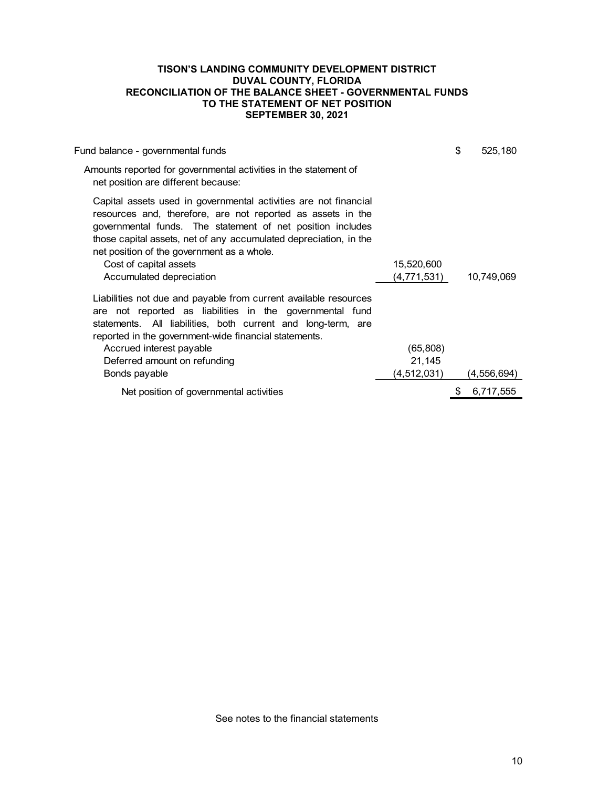#### **TISON'S LANDING COMMUNITY DEVELOPMENT DISTRICT DUVAL COUNTY, FLORIDA RECONCILIATION OF THE BALANCE SHEET - GOVERNMENTAL FUNDS TO THE STATEMENT OF NET POSITION SEPTEMBER 30, 2021**

| Fund balance - governmental funds                                                                                                                                                                                                                                                                                | \$          | 525,180     |
|------------------------------------------------------------------------------------------------------------------------------------------------------------------------------------------------------------------------------------------------------------------------------------------------------------------|-------------|-------------|
| Amounts reported for governmental activities in the statement of<br>net position are different because:                                                                                                                                                                                                          |             |             |
| Capital assets used in governmental activities are not financial<br>resources and, therefore, are not reported as assets in the<br>governmental funds. The statement of net position includes<br>those capital assets, net of any accumulated depreciation, in the<br>net position of the government as a whole. |             |             |
| Cost of capital assets                                                                                                                                                                                                                                                                                           | 15,520,600  |             |
| Accumulated depreciation                                                                                                                                                                                                                                                                                         | (4,771,531) | 10,749,069  |
| Liabilities not due and payable from current available resources<br>are not reported as liabilities in the governmental fund<br>statements. All liabilities, both current and long-term, are<br>reported in the government-wide financial statements.                                                            |             |             |
| Accrued interest payable                                                                                                                                                                                                                                                                                         | (65,808)    |             |
| Deferred amount on refunding                                                                                                                                                                                                                                                                                     | 21,145      |             |
| Bonds payable                                                                                                                                                                                                                                                                                                    | (4,512,031) | (4,556,694) |
| Net position of governmental activities                                                                                                                                                                                                                                                                          |             | 6,717,555   |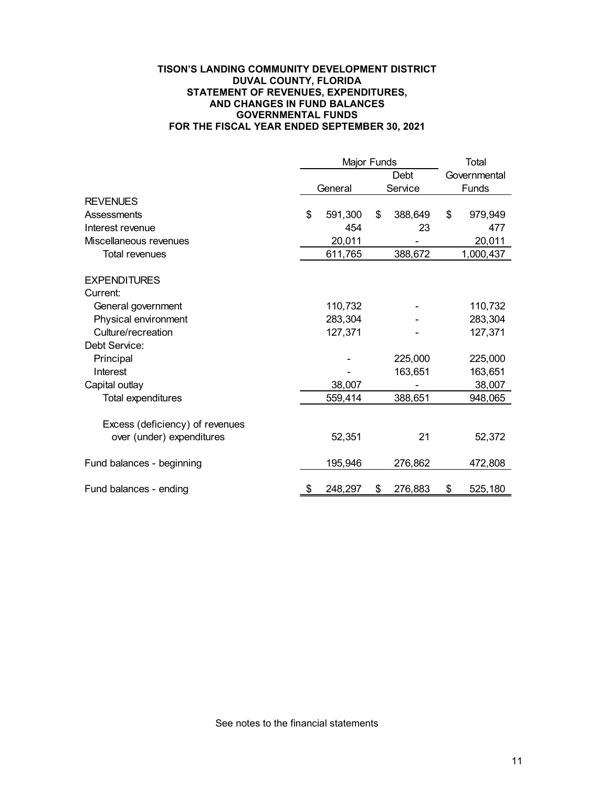#### **TISON'S LANDING COMMUNITY DEVELOPMENT DISTRICT DUVAL COUNTY, FLORIDA STATEMENT OF REVENUES, EXPENDITURES, AND CHANGES IN FUND BALANCES GOVERNMENTAL FUNDS FOR THE FISCAL YEAR ENDED SEPTEMBER 30, 2021**

|                                 | Major Funds   |      | Total        |    |           |
|---------------------------------|---------------|------|--------------|----|-----------|
|                                 |               | Debt | Governmental |    |           |
|                                 | General       |      | Service      |    | Funds     |
| <b>REVENUES</b>                 |               |      |              |    |           |
| Assessments                     | \$<br>591,300 | \$   | 388,649      | \$ | 979,949   |
| Interest revenue                | 454           |      | 23           |    | 477       |
| Miscellaneous revenues          | 20,011        |      |              |    | 20,011    |
| Total revenues                  | 611,765       |      | 388,672      |    | 1,000,437 |
| <b>EXPENDITURES</b>             |               |      |              |    |           |
| Current:                        |               |      |              |    |           |
| General government              | 110,732       |      |              |    | 110,732   |
| Physical environment            | 283,304       |      |              |    | 283,304   |
| Culture/recreation              | 127,371       |      |              |    | 127,371   |
| Debt Service:                   |               |      |              |    |           |
| Principal                       |               |      | 225,000      |    | 225,000   |
| Interest                        |               |      | 163,651      |    | 163,651   |
| Capital outlay                  | 38,007        |      |              |    | 38,007    |
| Total expenditures              | 559,414       |      | 388,651      |    | 948,065   |
| Excess (deficiency) of revenues |               |      |              |    |           |
| over (under) expenditures       | 52,351        |      | 21           |    | 52,372    |
| Fund balances - beginning       | 195,946       |      | 276,862      |    | 472,808   |
| Fund balances - ending          | \$<br>248,297 | \$   | 276,883      | \$ | 525,180   |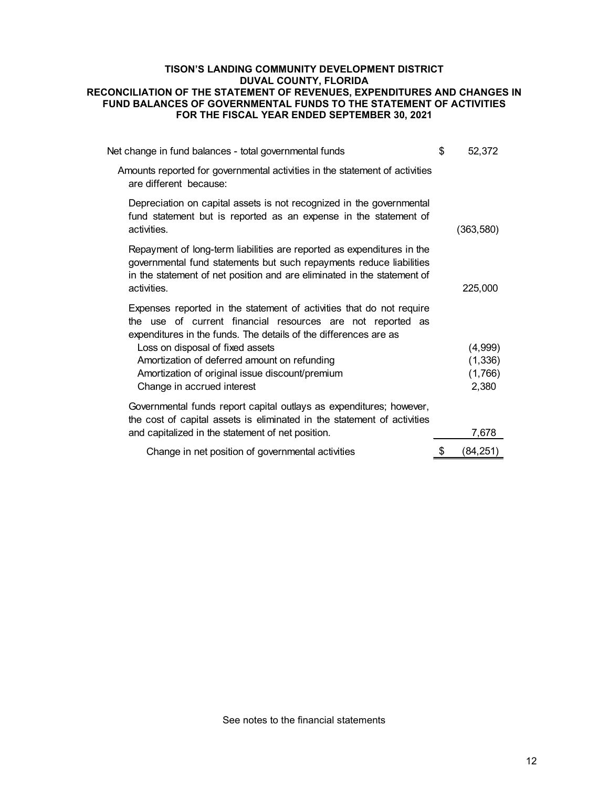### **TISON'S LANDING COMMUNITY DEVELOPMENT DISTRICT DUVAL COUNTY, FLORIDA RECONCILIATION OF THE STATEMENT OF REVENUES, EXPENDITURES AND CHANGES IN FUND BALANCES OF GOVERNMENTAL FUNDS TO THE STATEMENT OF ACTIVITIES FOR THE FISCAL YEAR ENDED SEPTEMBER 30, 2021**

| Net change in fund balances - total governmental funds                                                                                                                                                                                                                                     | \$<br>52,372        |
|--------------------------------------------------------------------------------------------------------------------------------------------------------------------------------------------------------------------------------------------------------------------------------------------|---------------------|
| Amounts reported for governmental activities in the statement of activities<br>are different because:                                                                                                                                                                                      |                     |
| Depreciation on capital assets is not recognized in the governmental<br>fund statement but is reported as an expense in the statement of<br>activities.                                                                                                                                    | (363,580)           |
| Repayment of long-term liabilities are reported as expenditures in the<br>governmental fund statements but such repayments reduce liabilities<br>in the statement of net position and are eliminated in the statement of<br>activities.                                                    | 225,000             |
| Expenses reported in the statement of activities that do not require<br>the use of current financial resources are not reported as<br>expenditures in the funds. The details of the differences are as<br>Loss on disposal of fixed assets<br>Amortization of deferred amount on refunding | (4,999)<br>(1, 336) |
| Amortization of original issue discount/premium<br>Change in accrued interest                                                                                                                                                                                                              | (1,766)<br>2,380    |
| Governmental funds report capital outlays as expenditures; however,<br>the cost of capital assets is eliminated in the statement of activities<br>and capitalized in the statement of net position.                                                                                        | 7,678               |
| Change in net position of governmental activities                                                                                                                                                                                                                                          | \$<br>(84, 251)     |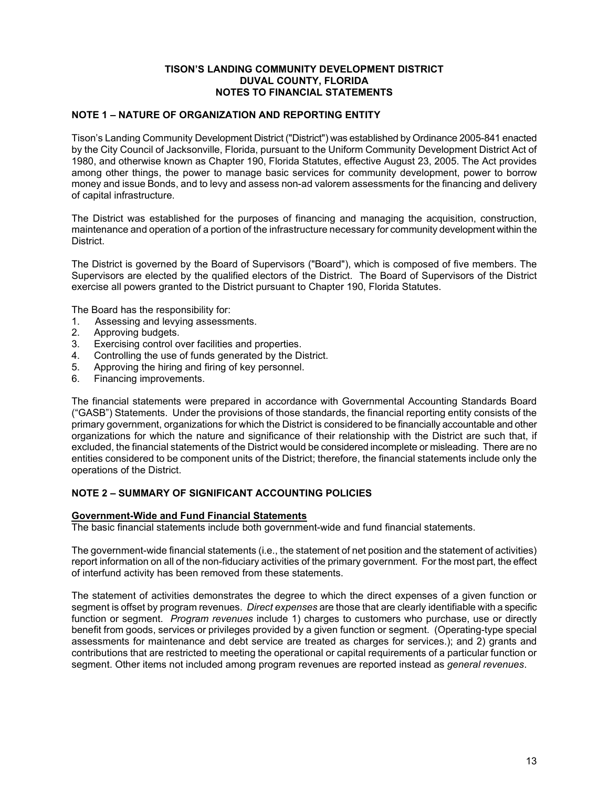### **TISON'S LANDING COMMUNITY DEVELOPMENT DISTRICT DUVAL COUNTY, FLORIDA NOTES TO FINANCIAL STATEMENTS**

## **NOTE 1 – NATURE OF ORGANIZATION AND REPORTING ENTITY**

Tison's Landing Community Development District ("District") was established by Ordinance 2005-841 enacted by the City Council of Jacksonville, Florida, pursuant to the Uniform Community Development District Act of 1980, and otherwise known as Chapter 190, Florida Statutes, effective August 23, 2005. The Act provides among other things, the power to manage basic services for community development, power to borrow money and issue Bonds, and to levy and assess non-ad valorem assessments for the financing and delivery of capital infrastructure.

The District was established for the purposes of financing and managing the acquisition, construction, maintenance and operation of a portion of the infrastructure necessary for community development within the District.

The District is governed by the Board of Supervisors ("Board"), which is composed of five members. The Supervisors are elected by the qualified electors of the District. The Board of Supervisors of the District exercise all powers granted to the District pursuant to Chapter 190, Florida Statutes.

The Board has the responsibility for:

- 1. Assessing and levying assessments.
- 2. Approving budgets.
- 3. Exercising control over facilities and properties.
- Controlling the use of funds generated by the District.
- 5. Approving the hiring and firing of key personnel.
- 6. Financing improvements.

The financial statements were prepared in accordance with Governmental Accounting Standards Board ("GASB") Statements. Under the provisions of those standards, the financial reporting entity consists of the primary government, organizations for which the District is considered to be financially accountable and other organizations for which the nature and significance of their relationship with the District are such that, if excluded, the financial statements of the District would be considered incomplete or misleading. There are no entities considered to be component units of the District; therefore, the financial statements include only the operations of the District.

### **NOTE 2 – SUMMARY OF SIGNIFICANT ACCOUNTING POLICIES**

#### **Government-Wide and Fund Financial Statements**

The basic financial statements include both government-wide and fund financial statements.

The government-wide financial statements (i.e., the statement of net position and the statement of activities) report information on all of the non-fiduciary activities of the primary government. For the most part, the effect of interfund activity has been removed from these statements.

The statement of activities demonstrates the degree to which the direct expenses of a given function or segment is offset by program revenues. *Direct expenses* are those that are clearly identifiable with a specific function or segment. *Program revenues* include 1) charges to customers who purchase, use or directly benefit from goods, services or privileges provided by a given function or segment. (Operating-type special assessments for maintenance and debt service are treated as charges for services.); and 2) grants and contributions that are restricted to meeting the operational or capital requirements of a particular function or segment. Other items not included among program revenues are reported instead as *general revenues*.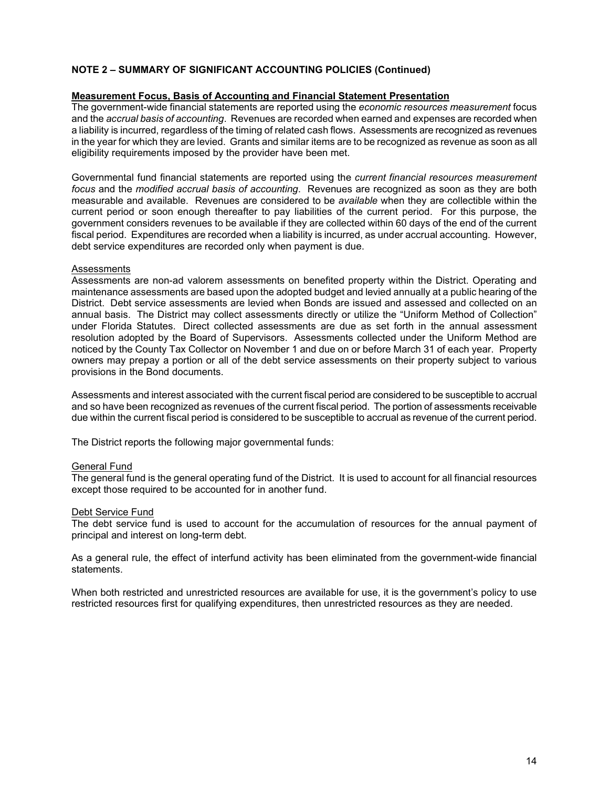## **Measurement Focus, Basis of Accounting and Financial Statement Presentation**

The government-wide financial statements are reported using the *economic resources measurement* focus and the *accrual basis of accounting*. Revenues are recorded when earned and expenses are recorded when a liability is incurred, regardless of the timing of related cash flows. Assessments are recognized as revenues in the year for which they are levied. Grants and similar items are to be recognized as revenue as soon as all eligibility requirements imposed by the provider have been met.

Governmental fund financial statements are reported using the *current financial resources measurement focus* and the *modified accrual basis of accounting*. Revenues are recognized as soon as they are both measurable and available. Revenues are considered to be *available* when they are collectible within the current period or soon enough thereafter to pay liabilities of the current period. For this purpose, the government considers revenues to be available if they are collected within 60 days of the end of the current fiscal period. Expenditures are recorded when a liability is incurred, as under accrual accounting. However, debt service expenditures are recorded only when payment is due.

#### **Assessments**

Assessments are non-ad valorem assessments on benefited property within the District. Operating and maintenance assessments are based upon the adopted budget and levied annually at a public hearing of the District. Debt service assessments are levied when Bonds are issued and assessed and collected on an annual basis. The District may collect assessments directly or utilize the "Uniform Method of Collection" under Florida Statutes. Direct collected assessments are due as set forth in the annual assessment resolution adopted by the Board of Supervisors. Assessments collected under the Uniform Method are noticed by the County Tax Collector on November 1 and due on or before March 31 of each year. Property owners may prepay a portion or all of the debt service assessments on their property subject to various provisions in the Bond documents.

Assessments and interest associated with the current fiscal period are considered to be susceptible to accrual and so have been recognized as revenues of the current fiscal period. The portion of assessments receivable due within the current fiscal period is considered to be susceptible to accrual as revenue of the current period.

The District reports the following major governmental funds:

#### General Fund

The general fund is the general operating fund of the District. It is used to account for all financial resources except those required to be accounted for in another fund.

#### Debt Service Fund

The debt service fund is used to account for the accumulation of resources for the annual payment of principal and interest on long-term debt.

As a general rule, the effect of interfund activity has been eliminated from the government-wide financial statements.

When both restricted and unrestricted resources are available for use, it is the government's policy to use restricted resources first for qualifying expenditures, then unrestricted resources as they are needed.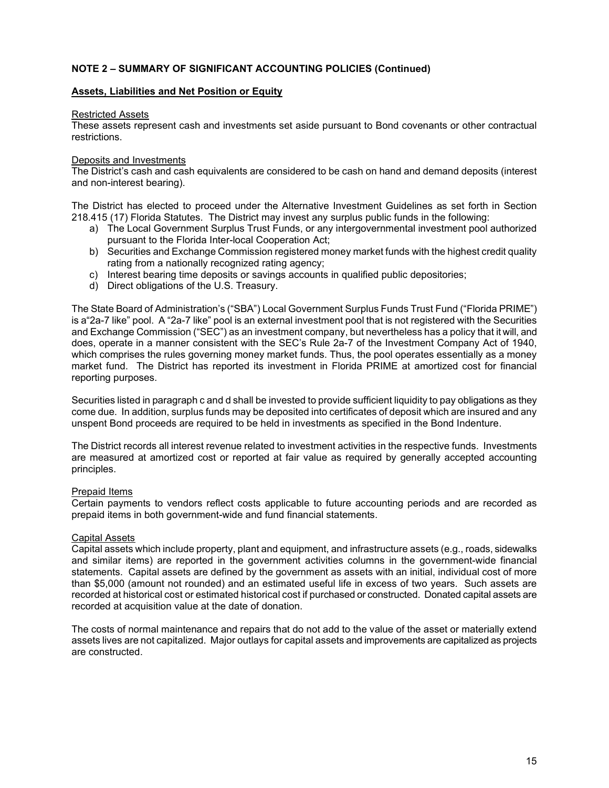### **Assets, Liabilities and Net Position or Equity**

#### Restricted Assets

These assets represent cash and investments set aside pursuant to Bond covenants or other contractual restrictions.

#### Deposits and Investments

The District's cash and cash equivalents are considered to be cash on hand and demand deposits (interest and non-interest bearing).

The District has elected to proceed under the Alternative Investment Guidelines as set forth in Section 218.415 (17) Florida Statutes. The District may invest any surplus public funds in the following:

- a) The Local Government Surplus Trust Funds, or any intergovernmental investment pool authorized pursuant to the Florida Inter-local Cooperation Act;
- b) Securities and Exchange Commission registered money market funds with the highest credit quality rating from a nationally recognized rating agency;
- c) Interest bearing time deposits or savings accounts in qualified public depositories;
- d) Direct obligations of the U.S. Treasury.

The State Board of Administration's ("SBA") Local Government Surplus Funds Trust Fund ("Florida PRIME") is a"2a-7 like" pool. A "2a-7 like" pool is an external investment pool that is not registered with the Securities and Exchange Commission ("SEC") as an investment company, but nevertheless has a policy that it will, and does, operate in a manner consistent with the SEC's Rule 2a-7 of the Investment Company Act of 1940, which comprises the rules governing money market funds. Thus, the pool operates essentially as a money market fund. The District has reported its investment in Florida PRIME at amortized cost for financial reporting purposes.

Securities listed in paragraph c and d shall be invested to provide sufficient liquidity to pay obligations as they come due. In addition, surplus funds may be deposited into certificates of deposit which are insured and any unspent Bond proceeds are required to be held in investments as specified in the Bond Indenture.

The District records all interest revenue related to investment activities in the respective funds. Investments are measured at amortized cost or reported at fair value as required by generally accepted accounting principles.

#### Prepaid Items

Certain payments to vendors reflect costs applicable to future accounting periods and are recorded as prepaid items in both government-wide and fund financial statements.

#### Capital Assets

Capital assets which include property, plant and equipment, and infrastructure assets (e.g., roads, sidewalks and similar items) are reported in the government activities columns in the government-wide financial statements. Capital assets are defined by the government as assets with an initial, individual cost of more than \$5,000 (amount not rounded) and an estimated useful life in excess of two years. Such assets are recorded at historical cost or estimated historical cost if purchased or constructed. Donated capital assets are recorded at acquisition value at the date of donation.

The costs of normal maintenance and repairs that do not add to the value of the asset or materially extend assets lives are not capitalized. Major outlays for capital assets and improvements are capitalized as projects are constructed.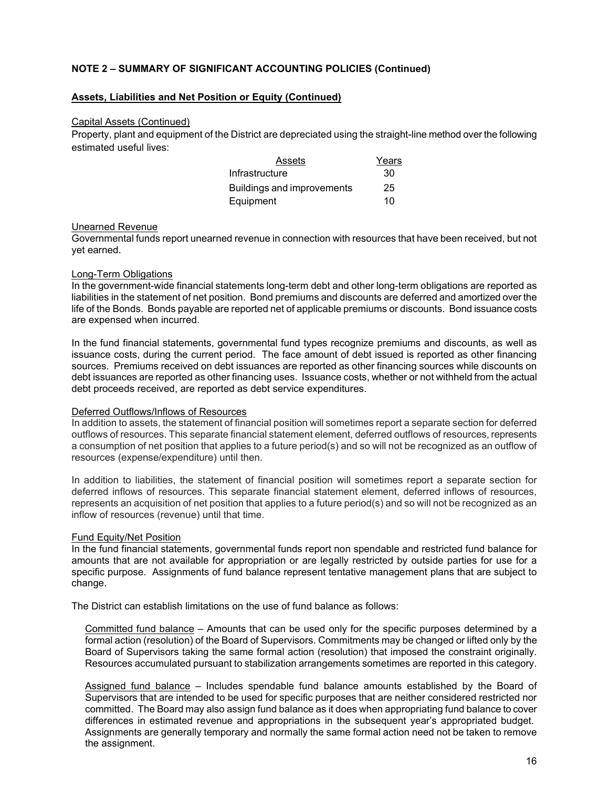### **Assets, Liabilities and Net Position or Equity (Continued)**

### Capital Assets (Continued)

Property, plant and equipment of the District are depreciated using the straight-line method over the following estimated useful lives:

| Assets                     | Years |
|----------------------------|-------|
| Infrastructure             | 30    |
| Buildings and improvements | 25    |
| Equipment                  | 10    |

### Unearned Revenue

Governmental funds report unearned revenue in connection with resources that have been received, but not yet earned.

#### Long-Term Obligations

In the government-wide financial statements long-term debt and other long-term obligations are reported as liabilities in the statement of net position. Bond premiums and discounts are deferred and amortized over the life of the Bonds. Bonds payable are reported net of applicable premiums or discounts. Bond issuance costs are expensed when incurred.

In the fund financial statements, governmental fund types recognize premiums and discounts, as well as issuance costs, during the current period. The face amount of debt issued is reported as other financing sources. Premiums received on debt issuances are reported as other financing sources while discounts on debt issuances are reported as other financing uses. Issuance costs, whether or not withheld from the actual debt proceeds received, are reported as debt service expenditures.

#### Deferred Outflows/Inflows of Resources

In addition to assets, the statement of financial position will sometimes report a separate section for deferred outflows of resources. This separate financial statement element, deferred outflows of resources, represents a consumption of net position that applies to a future period(s) and so will not be recognized as an outflow of resources (expense/expenditure) until then.

In addition to liabilities, the statement of financial position will sometimes report a separate section for deferred inflows of resources. This separate financial statement element, deferred inflows of resources, represents an acquisition of net position that applies to a future period(s) and so will not be recognized as an inflow of resources (revenue) until that time.

#### Fund Equity/Net Position

In the fund financial statements, governmental funds report non spendable and restricted fund balance for amounts that are not available for appropriation or are legally restricted by outside parties for use for a specific purpose. Assignments of fund balance represent tentative management plans that are subject to change.

The District can establish limitations on the use of fund balance as follows:

Committed fund balance – Amounts that can be used only for the specific purposes determined by a formal action (resolution) of the Board of Supervisors. Commitments may be changed or lifted only by the Board of Supervisors taking the same formal action (resolution) that imposed the constraint originally. Resources accumulated pursuant to stabilization arrangements sometimes are reported in this category.

Assigned fund balance – Includes spendable fund balance amounts established by the Board of Supervisors that are intended to be used for specific purposes that are neither considered restricted nor committed. The Board may also assign fund balance as it does when appropriating fund balance to cover differences in estimated revenue and appropriations in the subsequent year's appropriated budget. Assignments are generally temporary and normally the same formal action need not be taken to remove the assignment.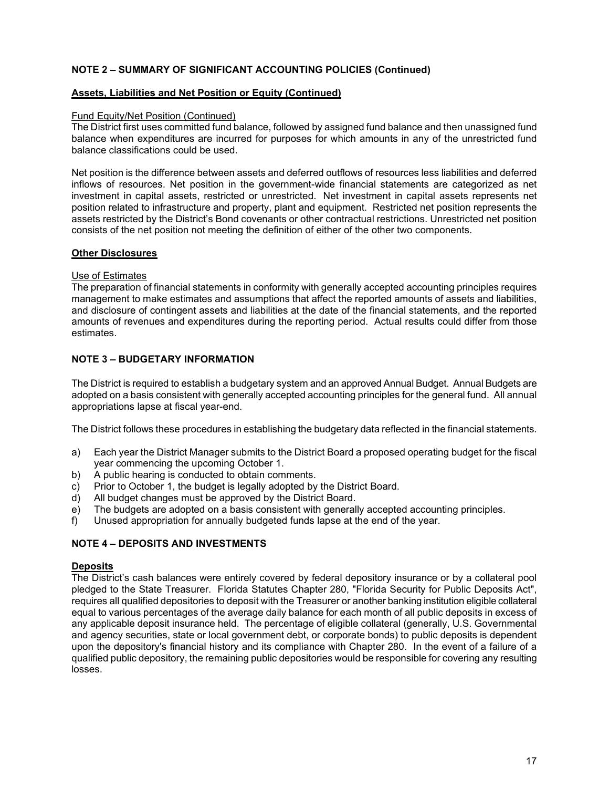## **Assets, Liabilities and Net Position or Equity (Continued)**

#### Fund Equity/Net Position (Continued)

The District first uses committed fund balance, followed by assigned fund balance and then unassigned fund balance when expenditures are incurred for purposes for which amounts in any of the unrestricted fund balance classifications could be used.

Net position is the difference between assets and deferred outflows of resources less liabilities and deferred inflows of resources. Net position in the government-wide financial statements are categorized as net investment in capital assets, restricted or unrestricted. Net investment in capital assets represents net position related to infrastructure and property, plant and equipment. Restricted net position represents the assets restricted by the District's Bond covenants or other contractual restrictions. Unrestricted net position consists of the net position not meeting the definition of either of the other two components.

#### **Other Disclosures**

#### Use of Estimates

The preparation of financial statements in conformity with generally accepted accounting principles requires management to make estimates and assumptions that affect the reported amounts of assets and liabilities, and disclosure of contingent assets and liabilities at the date of the financial statements, and the reported amounts of revenues and expenditures during the reporting period. Actual results could differ from those estimates.

## **NOTE 3 – BUDGETARY INFORMATION**

The District is required to establish a budgetary system and an approved Annual Budget. Annual Budgets are adopted on a basis consistent with generally accepted accounting principles for the general fund. All annual appropriations lapse at fiscal year-end.

The District follows these procedures in establishing the budgetary data reflected in the financial statements.

- a) Each year the District Manager submits to the District Board a proposed operating budget for the fiscal year commencing the upcoming October 1.
- b) A public hearing is conducted to obtain comments.
- c) Prior to October 1, the budget is legally adopted by the District Board.
- d) All budget changes must be approved by the District Board.
- e) The budgets are adopted on a basis consistent with generally accepted accounting principles.
- f) Unused appropriation for annually budgeted funds lapse at the end of the year.

## **NOTE 4 – DEPOSITS AND INVESTMENTS**

#### **Deposits**

The District's cash balances were entirely covered by federal depository insurance or by a collateral pool pledged to the State Treasurer. Florida Statutes Chapter 280, "Florida Security for Public Deposits Act", requires all qualified depositories to deposit with the Treasurer or another banking institution eligible collateral equal to various percentages of the average daily balance for each month of all public deposits in excess of any applicable deposit insurance held. The percentage of eligible collateral (generally, U.S. Governmental and agency securities, state or local government debt, or corporate bonds) to public deposits is dependent upon the depository's financial history and its compliance with Chapter 280. In the event of a failure of a qualified public depository, the remaining public depositories would be responsible for covering any resulting losses.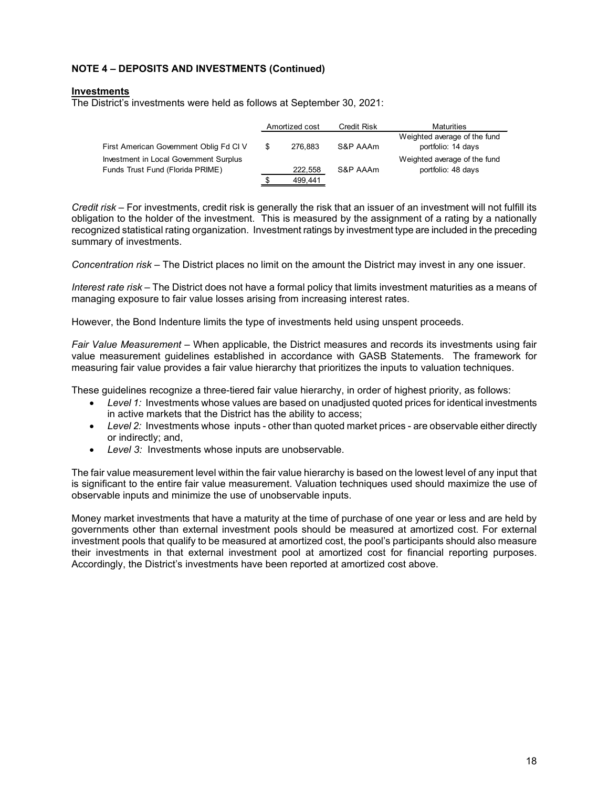## **NOTE 4 – DEPOSITS AND INVESTMENTS (Continued)**

### **Investments**

The District's investments were held as follows at September 30, 2021:

|                                         | Amortized cost |         |          |                              |  |  | <b>Credit Risk</b> | <b>Maturities</b> |
|-----------------------------------------|----------------|---------|----------|------------------------------|--|--|--------------------|-------------------|
|                                         |                |         |          | Weighted average of the fund |  |  |                    |                   |
| First American Government Oblig Fd Cl V |                | 276.883 | S&P AAAm | portfolio: 14 days           |  |  |                    |                   |
| Investment in Local Government Surplus  |                |         |          | Weighted average of the fund |  |  |                    |                   |
| Funds Trust Fund (Florida PRIME)        |                | 222,558 | S&P AAAm | portfolio: 48 days           |  |  |                    |                   |
|                                         |                | 499,441 |          |                              |  |  |                    |                   |

*Credit risk –* For investments, credit risk is generally the risk that an issuer of an investment will not fulfill its obligation to the holder of the investment. This is measured by the assignment of a rating by a nationally recognized statistical rating organization. Investment ratings by investment type are included in the preceding summary of investments.

*Concentration risk –* The District places no limit on the amount the District may invest in any one issuer.

*Interest rate risk –* The District does not have a formal policy that limits investment maturities as a means of managing exposure to fair value losses arising from increasing interest rates.

However, the Bond Indenture limits the type of investments held using unspent proceeds.

*Fair Value Measurement –* When applicable, the District measures and records its investments using fair value measurement guidelines established in accordance with GASB Statements. The framework for measuring fair value provides a fair value hierarchy that prioritizes the inputs to valuation techniques.

These guidelines recognize a three-tiered fair value hierarchy, in order of highest priority, as follows:

- *Level 1:* Investments whose values are based on unadjusted quoted prices for identical investments in active markets that the District has the ability to access;
- Level 2: Investments whose inputs other than quoted market prices are observable either directly or indirectly; and,
- *Level 3:* Investments whose inputs are unobservable.

The fair value measurement level within the fair value hierarchy is based on the lowest level of any input that is significant to the entire fair value measurement. Valuation techniques used should maximize the use of observable inputs and minimize the use of unobservable inputs.

Money market investments that have a maturity at the time of purchase of one year or less and are held by governments other than external investment pools should be measured at amortized cost. For external investment pools that qualify to be measured at amortized cost, the pool's participants should also measure their investments in that external investment pool at amortized cost for financial reporting purposes. Accordingly, the District's investments have been reported at amortized cost above.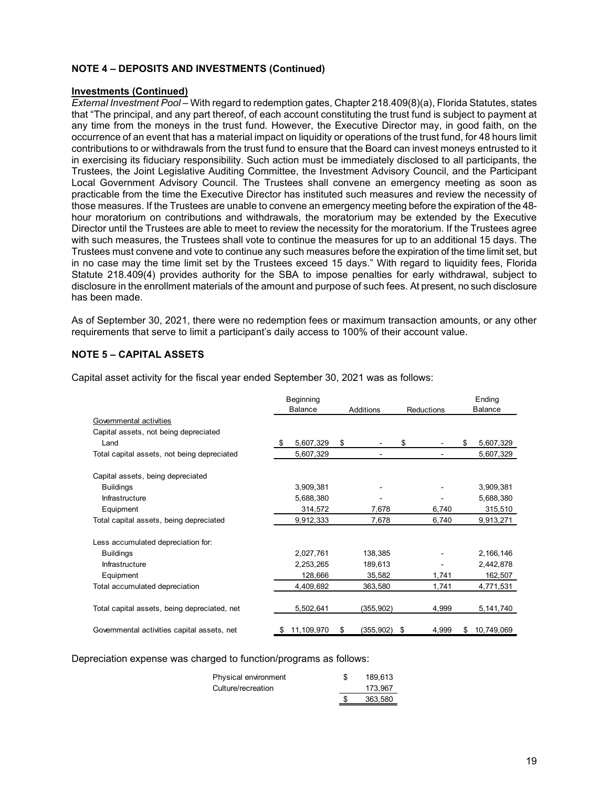## **NOTE 4 – DEPOSITS AND INVESTMENTS (Continued)**

#### **Investments (Continued)**

*External Investment Pool –* With regard to redemption gates, Chapter 218.409(8)(a), Florida Statutes, states that "The principal, and any part thereof, of each account constituting the trust fund is subject to payment at any time from the moneys in the trust fund. However, the Executive Director may, in good faith, on the occurrence of an event that has a material impact on liquidity or operations of the trust fund, for 48 hours limit contributions to or withdrawals from the trust fund to ensure that the Board can invest moneys entrusted to it in exercising its fiduciary responsibility. Such action must be immediately disclosed to all participants, the Trustees, the Joint Legislative Auditing Committee, the Investment Advisory Council, and the Participant Local Government Advisory Council. The Trustees shall convene an emergency meeting as soon as practicable from the time the Executive Director has instituted such measures and review the necessity of those measures. If the Trustees are unable to convene an emergency meeting before the expiration of the 48 hour moratorium on contributions and withdrawals, the moratorium may be extended by the Executive Director until the Trustees are able to meet to review the necessity for the moratorium. If the Trustees agree with such measures, the Trustees shall vote to continue the measures for up to an additional 15 days. The Trustees must convene and vote to continue any such measures before the expiration of the time limit set, but in no case may the time limit set by the Trustees exceed 15 days." With regard to liquidity fees, Florida Statute 218.409(4) provides authority for the SBA to impose penalties for early withdrawal, subject to disclosure in the enrollment materials of the amount and purpose of such fees. At present, no such disclosure has been made.

As of September 30, 2021, there were no redemption fees or maximum transaction amounts, or any other requirements that serve to limit a participant's daily access to 100% of their account value.

### **NOTE 5 – CAPITAL ASSETS**

|                                              | Beginning<br><b>Balance</b> | <b>Additions</b> |            | <b>Reductions</b> |       | Ending<br><b>Balance</b> |
|----------------------------------------------|-----------------------------|------------------|------------|-------------------|-------|--------------------------|
| Governmental activities                      |                             |                  |            |                   |       |                          |
| Capital assets, not being depreciated        |                             |                  |            |                   |       |                          |
| Land                                         | \$<br>5,607,329             | \$               |            | \$                |       | \$<br>5,607,329          |
| Total capital assets, not being depreciated  | 5,607,329                   |                  |            |                   |       | 5,607,329                |
| Capital assets, being depreciated            |                             |                  |            |                   |       |                          |
| <b>Buildings</b>                             | 3,909,381                   |                  |            |                   |       | 3,909,381                |
| Infrastructure                               | 5,688,380                   |                  |            |                   |       | 5,688,380                |
| Equipment                                    | 314,572                     |                  | 7,678      |                   | 6,740 | 315,510                  |
| Total capital assets, being depreciated      | 9,912,333                   |                  | 7,678      |                   | 6,740 | 9,913,271                |
| Less accumulated depreciation for:           |                             |                  |            |                   |       |                          |
| <b>Buildings</b>                             | 2,027,761                   |                  | 138,385    |                   |       | 2,166,146                |
| Infrastructure                               | 2,253,265                   |                  | 189,613    |                   |       | 2,442,878                |
| Equipment                                    | 128,666                     |                  | 35,582     |                   | 1,741 | 162,507                  |
| Total accumulated depreciation               | 4,409,692                   |                  | 363,580    |                   | 1,741 | 4,771,531                |
| Total capital assets, being depreciated, net | 5,502,641                   |                  | (355, 902) |                   | 4,999 | 5, 141, 740              |
| Governmental activities capital assets, net  | \$<br>11,109,970            | \$               | (355, 902) | \$                | 4,999 | \$<br>10,749,069         |

Capital asset activity for the fiscal year ended September 30, 2021 was as follows:

Depreciation expense was charged to function/programs as follows:

| Physical environment | 189.613 |
|----------------------|---------|
| Culture/recreation   | 173.967 |
|                      | 363,580 |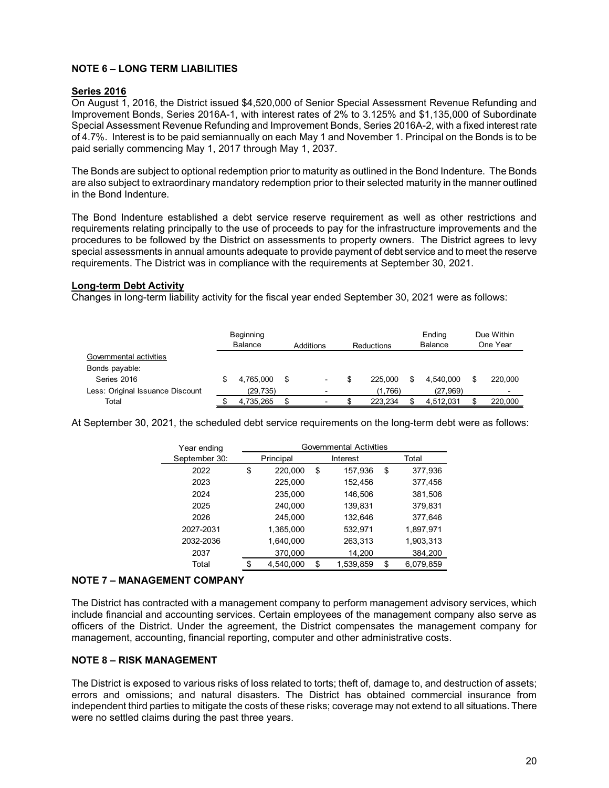## **NOTE 6 – LONG TERM LIABILITIES**

### **Series 2016**

On August 1, 2016, the District issued \$4,520,000 of Senior Special Assessment Revenue Refunding and Improvement Bonds, Series 2016A-1, with interest rates of 2% to 3.125% and \$1,135,000 of Subordinate Special Assessment Revenue Refunding and Improvement Bonds, Series 2016A-2, with a fixed interest rate of 4.7%. Interest is to be paid semiannually on each May 1 and November 1. Principal on the Bonds is to be paid serially commencing May 1, 2017 through May 1, 2037.

The Bonds are subject to optional redemption prior to maturity as outlined in the Bond Indenture. The Bonds are also subject to extraordinary mandatory redemption prior to their selected maturity in the manner outlined in the Bond Indenture.

The Bond Indenture established a debt service reserve requirement as well as other restrictions and requirements relating principally to the use of proceeds to pay for the infrastructure improvements and the procedures to be followed by the District on assessments to property owners. The District agrees to levy special assessments in annual amounts adequate to provide payment of debt service and to meet the reserve requirements. The District was in compliance with the requirements at September 30, 2021.

#### **Long-term Debt Activity**

Changes in long-term liability activity for the fiscal year ended September 30, 2021 were as follows:

|                                  | Beginning<br><b>Balance</b> | Additions | <b>Reductions</b> |   | Ending<br>Balance |     | Due Within<br>One Year |
|----------------------------------|-----------------------------|-----------|-------------------|---|-------------------|-----|------------------------|
| Governmental activities          |                             |           |                   |   |                   |     |                        |
| Bonds payable:                   |                             |           |                   |   |                   |     |                        |
| Series 2016                      | 4,765,000                   | \$        | 225.000           | S | 4.540.000         | \$. | 220,000                |
| Less: Original Issuance Discount | (29,735)                    |           | (1.766)           |   | (27,969)          |     |                        |
| Total                            | 4,735,265                   | \$        | 223.234           |   | 4.512.031         | \$  | 220,000                |

At September 30, 2021, the scheduled debt service requirements on the long-term debt were as follows:

| Year ending   | <b>Governmental Activities</b> |           |         |           |       |           |  |  |
|---------------|--------------------------------|-----------|---------|-----------|-------|-----------|--|--|
| September 30: | Principal                      |           |         | Interest  | Total |           |  |  |
| 2022          | \$                             | 220,000   | \$      | 157,936   | \$    | 377,936   |  |  |
| 2023          |                                | 225,000   |         | 152,456   |       | 377,456   |  |  |
| 2024          |                                | 235,000   |         | 146,506   |       | 381,506   |  |  |
| 2025          |                                | 240,000   |         | 139,831   |       |           |  |  |
| 2026          |                                | 245,000   |         | 132,646   |       | 377.646   |  |  |
| 2027-2031     |                                | 1,365,000 |         | 532,971   |       | 1,897,971 |  |  |
| 2032-2036     |                                | 1,640,000 | 263,313 |           |       | 1,903,313 |  |  |
| 2037          |                                | 370,000   |         | 14,200    |       | 384,200   |  |  |
| Total         | \$                             | 4.540.000 | \$      | 1.539.859 | \$    | 6.079.859 |  |  |

## **NOTE 7 – MANAGEMENT COMPANY**

The District has contracted with a management company to perform management advisory services, which include financial and accounting services. Certain employees of the management company also serve as officers of the District. Under the agreement, the District compensates the management company for management, accounting, financial reporting, computer and other administrative costs.

#### **NOTE 8 – RISK MANAGEMENT**

The District is exposed to various risks of loss related to torts; theft of, damage to, and destruction of assets; errors and omissions; and natural disasters. The District has obtained commercial insurance from independent third parties to mitigate the costs of these risks; coverage may not extend to all situations. There were no settled claims during the past three years.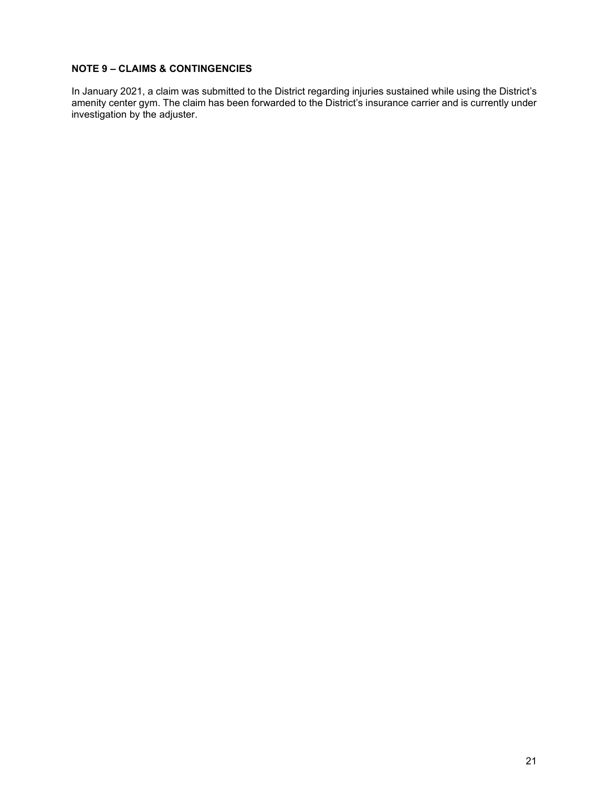## **NOTE 9 – CLAIMS & CONTINGENCIES**

In January 2021, a claim was submitted to the District regarding injuries sustained while using the District's amenity center gym. The claim has been forwarded to the District's insurance carrier and is currently under investigation by the adjuster.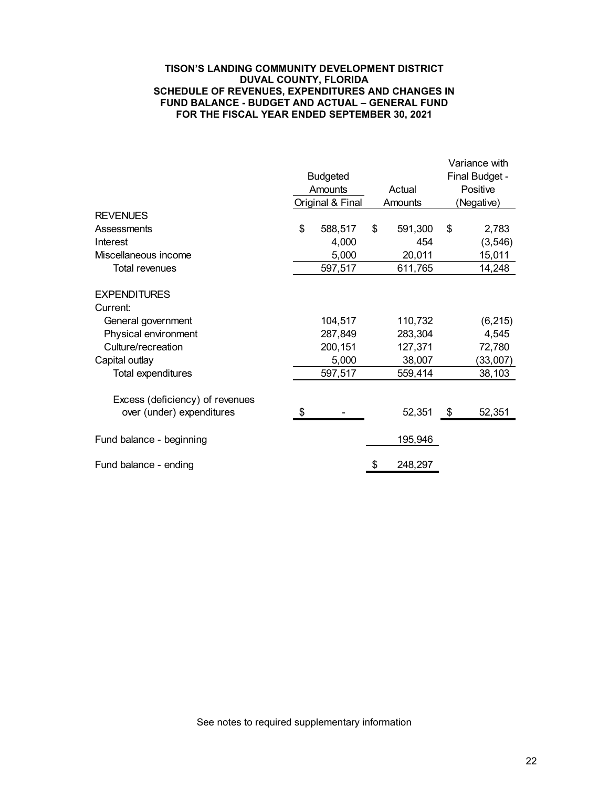### **TISON'S LANDING COMMUNITY DEVELOPMENT DISTRICT DUVAL COUNTY, FLORIDA SCHEDULE OF REVENUES, EXPENDITURES AND CHANGES IN FUND BALANCE - BUDGET AND ACTUAL – GENERAL FUND FOR THE FISCAL YEAR ENDED SEPTEMBER 30, 2021**

|                                 |                  |         |    |         |                | Variance with |  |  |
|---------------------------------|------------------|---------|----|---------|----------------|---------------|--|--|
|                                 | <b>Budgeted</b>  |         |    |         | Final Budget - |               |  |  |
|                                 | Amounts          |         |    | Actual  | Positive       |               |  |  |
|                                 | Original & Final |         |    | Amounts | (Negative)     |               |  |  |
| <b>REVENUES</b>                 |                  |         |    |         |                |               |  |  |
| Assessments                     | \$               | 588,517 | \$ | 591,300 | \$             | 2,783         |  |  |
| Interest                        |                  | 4,000   |    | 454     |                | (3, 546)      |  |  |
| Miscellaneous income            |                  | 5,000   |    | 20,011  |                | 15,011        |  |  |
| Total revenues                  |                  | 597,517 |    | 611,765 |                | 14,248        |  |  |
| <b>EXPENDITURES</b>             |                  |         |    |         |                |               |  |  |
| Current:                        |                  |         |    |         |                |               |  |  |
| General government              |                  | 104,517 |    | 110,732 |                | (6, 215)      |  |  |
| Physical environment            |                  | 287,849 |    | 283,304 |                | 4,545         |  |  |
| Culture/recreation              |                  | 200,151 |    | 127,371 |                | 72,780        |  |  |
| Capital outlay                  |                  | 5,000   |    | 38,007  |                | (33,007)      |  |  |
| <b>Total expenditures</b>       |                  | 597,517 |    | 559,414 |                | 38,103        |  |  |
| Excess (deficiency) of revenues |                  |         |    |         |                |               |  |  |
| over (under) expenditures       | \$               |         |    | 52,351  | \$             | 52,351        |  |  |
| Fund balance - beginning        |                  |         |    | 195,946 |                |               |  |  |
|                                 |                  |         |    |         |                |               |  |  |
| Fund balance - ending           |                  |         |    | 248,297 |                |               |  |  |

See notes to required supplementary information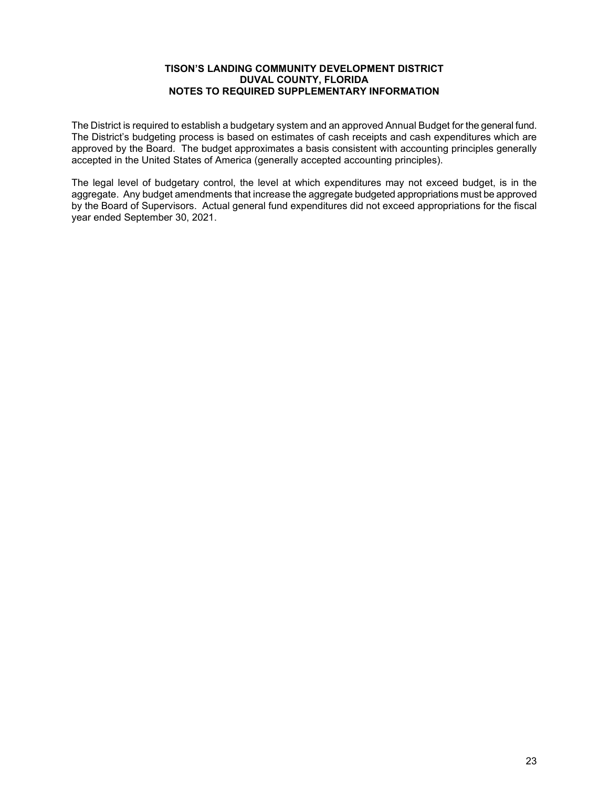### **TISON'S LANDING COMMUNITY DEVELOPMENT DISTRICT DUVAL COUNTY, FLORIDA NOTES TO REQUIRED SUPPLEMENTARY INFORMATION**

The District is required to establish a budgetary system and an approved Annual Budget for the general fund. The District's budgeting process is based on estimates of cash receipts and cash expenditures which are approved by the Board. The budget approximates a basis consistent with accounting principles generally accepted in the United States of America (generally accepted accounting principles).

The legal level of budgetary control, the level at which expenditures may not exceed budget, is in the aggregate. Any budget amendments that increase the aggregate budgeted appropriations must be approved by the Board of Supervisors. Actual general fund expenditures did not exceed appropriations for the fiscal year ended September 30, 2021.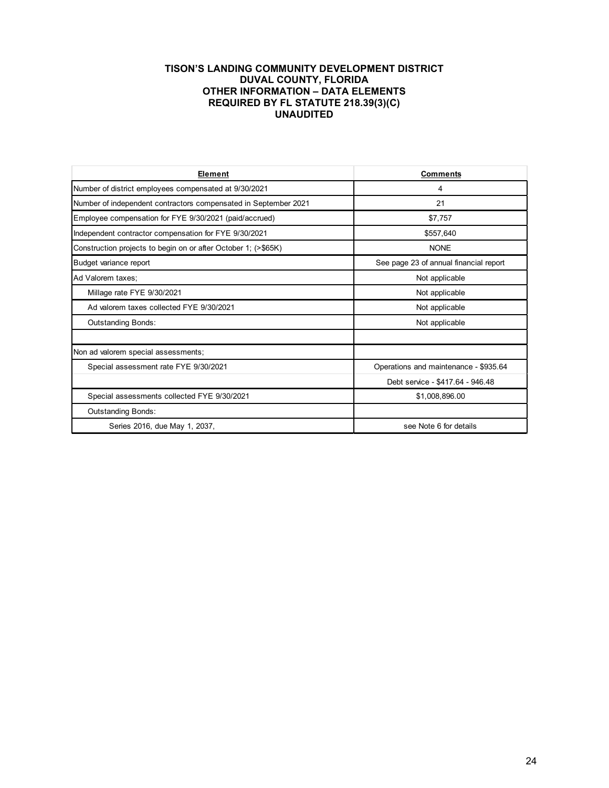### **TISON'S LANDING COMMUNITY DEVELOPMENT DISTRICT DUVAL COUNTY, FLORIDA OTHER INFORMATION – DATA ELEMENTS REQUIRED BY FL STATUTE 218.39(3)(C) UNAUDITED**

| Element                                                         | <b>Comments</b>                        |  |  |  |  |  |
|-----------------------------------------------------------------|----------------------------------------|--|--|--|--|--|
| Number of district employees compensated at 9/30/2021           | 4                                      |  |  |  |  |  |
| Number of independent contractors compensated in September 2021 | 21                                     |  |  |  |  |  |
| Employee compensation for FYE 9/30/2021 (paid/accrued)          | \$7,757                                |  |  |  |  |  |
| Independent contractor compensation for FYE 9/30/2021           | \$557,640                              |  |  |  |  |  |
| Construction projects to begin on or after October 1; (>\$65K)  | <b>NONE</b>                            |  |  |  |  |  |
| Budget variance report                                          | See page 23 of annual financial report |  |  |  |  |  |
| Ad Valorem taxes;                                               | Not applicable                         |  |  |  |  |  |
| Millage rate FYE 9/30/2021                                      | Not applicable                         |  |  |  |  |  |
| Ad valorem taxes collected FYE 9/30/2021                        | Not applicable                         |  |  |  |  |  |
| Outstanding Bonds:                                              | Not applicable                         |  |  |  |  |  |
|                                                                 |                                        |  |  |  |  |  |
| Non ad valorem special assessments;                             |                                        |  |  |  |  |  |
| Special assessment rate FYE 9/30/2021                           | Operations and maintenance - \$935.64  |  |  |  |  |  |
|                                                                 | Debt service - \$417.64 - 946.48       |  |  |  |  |  |
| Special assessments collected FYE 9/30/2021                     | \$1,008,896.00                         |  |  |  |  |  |
| <b>Outstanding Bonds:</b>                                       |                                        |  |  |  |  |  |
| Series 2016, due May 1, 2037,                                   | see Note 6 for details                 |  |  |  |  |  |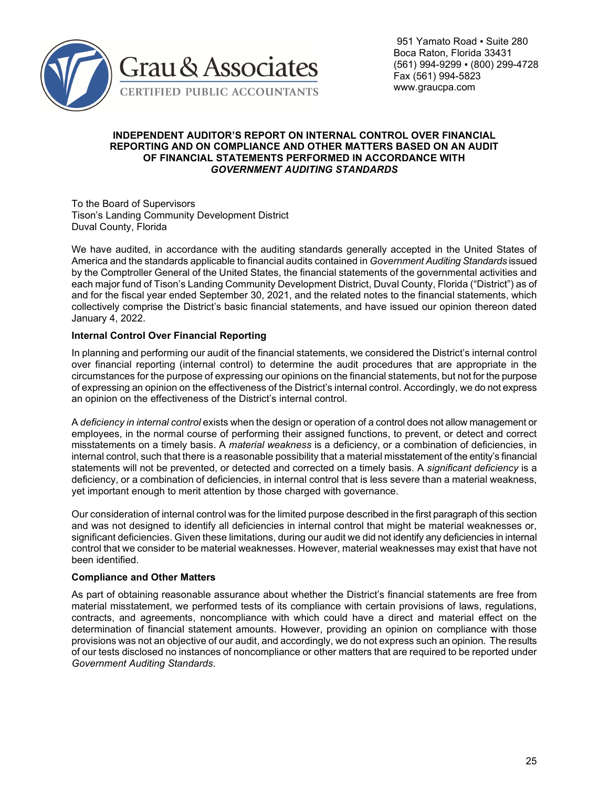

 951 Yamato Road ▪ Suite 280 Boca Raton, Florida 33431 (561) 994-9299 ▪ (800) 299-4728 Fax (561) 994-5823 www.graucpa.com

### **INDEPENDENT AUDITOR'S REPORT ON INTERNAL CONTROL OVER FINANCIAL REPORTING AND ON COMPLIANCE AND OTHER MATTERS BASED ON AN AUDIT OF FINANCIAL STATEMENTS PERFORMED IN ACCORDANCE WITH** *GOVERNMENT AUDITING STANDARDS*

To the Board of Supervisors Tison's Landing Community Development District Duval County, Florida

We have audited, in accordance with the auditing standards generally accepted in the United States of America and the standards applicable to financial audits contained in *Government Auditing Standards* issued by the Comptroller General of the United States, the financial statements of the governmental activities and each major fund of Tison's Landing Community Development District, Duval County, Florida ("District") as of and for the fiscal year ended September 30, 2021, and the related notes to the financial statements, which collectively comprise the District's basic financial statements, and have issued our opinion thereon dated January 4, 2022.

### **Internal Control Over Financial Reporting**

In planning and performing our audit of the financial statements, we considered the District's internal control over financial reporting (internal control) to determine the audit procedures that are appropriate in the circumstances for the purpose of expressing our opinions on the financial statements, but not for the purpose of expressing an opinion on the effectiveness of the District's internal control. Accordingly, we do not express an opinion on the effectiveness of the District's internal control.

A *deficiency in internal control* exists when the design or operation of a control does not allow management or employees, in the normal course of performing their assigned functions, to prevent, or detect and correct misstatements on a timely basis. A *material weakness* is a deficiency, or a combination of deficiencies, in internal control, such that there is a reasonable possibility that a material misstatement of the entity's financial statements will not be prevented, or detected and corrected on a timely basis. A *significant deficiency* is a deficiency, or a combination of deficiencies, in internal control that is less severe than a material weakness, yet important enough to merit attention by those charged with governance.

Our consideration of internal control was for the limited purpose described in the first paragraph of this section and was not designed to identify all deficiencies in internal control that might be material weaknesses or, significant deficiencies. Given these limitations, during our audit we did not identify any deficiencies in internal control that we consider to be material weaknesses. However, material weaknesses may exist that have not been identified.

#### **Compliance and Other Matters**

As part of obtaining reasonable assurance about whether the District's financial statements are free from material misstatement, we performed tests of its compliance with certain provisions of laws, regulations, contracts, and agreements, noncompliance with which could have a direct and material effect on the determination of financial statement amounts. However, providing an opinion on compliance with those provisions was not an objective of our audit, and accordingly, we do not express such an opinion. The results of our tests disclosed no instances of noncompliance or other matters that are required to be reported under *Government Auditing Standards*.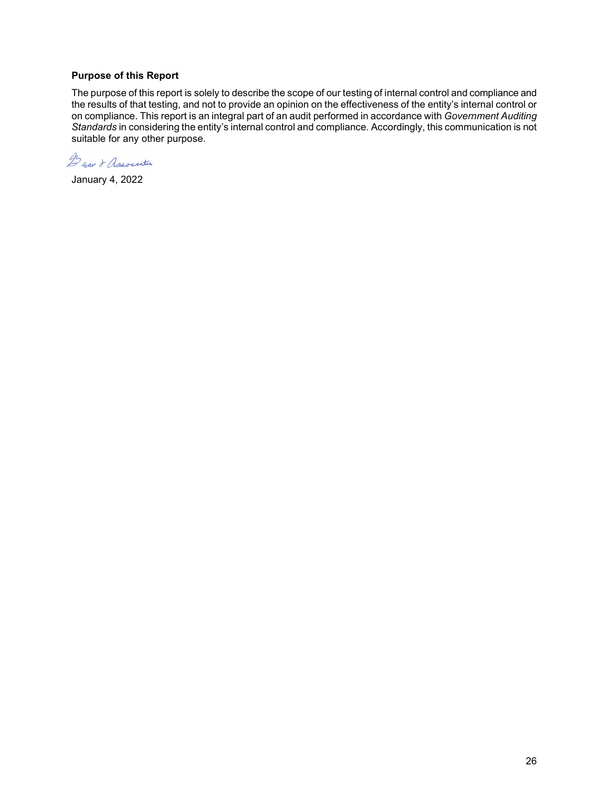## **Purpose of this Report**

The purpose of this report is solely to describe the scope of our testing of internal control and compliance and the results of that testing, and not to provide an opinion on the effectiveness of the entity's internal control or on compliance. This report is an integral part of an audit performed in accordance with *Government Auditing Standards* in considering the entity's internal control and compliance. Accordingly, this communication is not suitable for any other purpose.

De nav & Association

January 4, 2022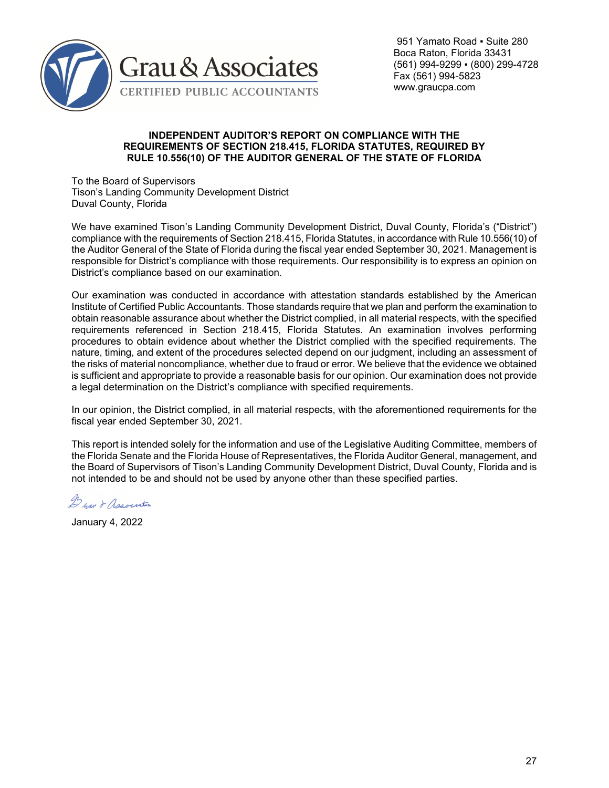

 951 Yamato Road ▪ Suite 280 Boca Raton, Florida 33431 (561) 994-9299 ▪ (800) 299-4728 Fax (561) 994-5823 www.graucpa.com

#### **INDEPENDENT AUDITOR'S REPORT ON COMPLIANCE WITH THE REQUIREMENTS OF SECTION 218.415, FLORIDA STATUTES, REQUIRED BY RULE 10.556(10) OF THE AUDITOR GENERAL OF THE STATE OF FLORIDA**

To the Board of Supervisors Tison's Landing Community Development District Duval County, Florida

We have examined Tison's Landing Community Development District, Duval County, Florida's ("District") compliance with the requirements of Section 218.415, Florida Statutes, in accordance with Rule 10.556(10) of the Auditor General of the State of Florida during the fiscal year ended September 30, 2021. Management is responsible for District's compliance with those requirements. Our responsibility is to express an opinion on District's compliance based on our examination.

Our examination was conducted in accordance with attestation standards established by the American Institute of Certified Public Accountants. Those standards require that we plan and perform the examination to obtain reasonable assurance about whether the District complied, in all material respects, with the specified requirements referenced in Section 218.415, Florida Statutes. An examination involves performing procedures to obtain evidence about whether the District complied with the specified requirements. The nature, timing, and extent of the procedures selected depend on our judgment, including an assessment of the risks of material noncompliance, whether due to fraud or error. We believe that the evidence we obtained is sufficient and appropriate to provide a reasonable basis for our opinion. Our examination does not provide a legal determination on the District's compliance with specified requirements.

In our opinion, the District complied, in all material respects, with the aforementioned requirements for the fiscal year ended September 30, 2021.

This report is intended solely for the information and use of the Legislative Auditing Committee, members of the Florida Senate and the Florida House of Representatives, the Florida Auditor General, management, and the Board of Supervisors of Tison's Landing Community Development District, Duval County, Florida and is not intended to be and should not be used by anyone other than these specified parties.

De nav & Association

January 4, 2022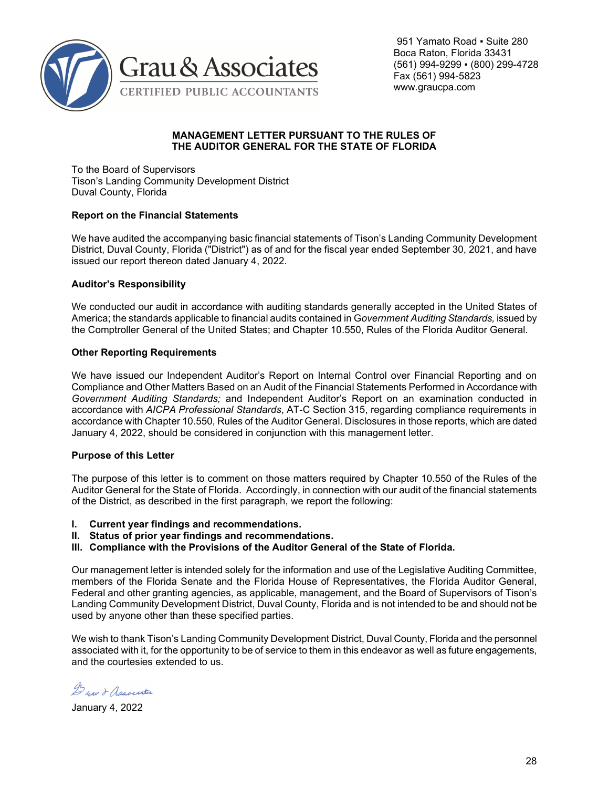

### **MANAGEMENT LETTER PURSUANT TO THE RULES OF THE AUDITOR GENERAL FOR THE STATE OF FLORIDA**

To the Board of Supervisors Tison's Landing Community Development District Duval County, Florida

#### **Report on the Financial Statements**

We have audited the accompanying basic financial statements of Tison's Landing Community Development District, Duval County, Florida ("District") as of and for the fiscal year ended September 30, 2021, and have issued our report thereon dated January 4, 2022.

### **Auditor's Responsibility**

We conducted our audit in accordance with auditing standards generally accepted in the United States of America; the standards applicable to financial audits contained in G*overnment Auditing Standards,* issued by the Comptroller General of the United States; and Chapter 10.550, Rules of the Florida Auditor General.

### **Other Reporting Requirements**

We have issued our Independent Auditor's Report on Internal Control over Financial Reporting and on Compliance and Other Matters Based on an Audit of the Financial Statements Performed in Accordance with *Government Auditing Standards;* and Independent Auditor's Report on an examination conducted in accordance with *AICPA Professional Standards*, AT-C Section 315, regarding compliance requirements in accordance with Chapter 10.550, Rules of the Auditor General. Disclosures in those reports, which are dated January 4, 2022, should be considered in conjunction with this management letter.

#### **Purpose of this Letter**

The purpose of this letter is to comment on those matters required by Chapter 10.550 of the Rules of the Auditor General for the State of Florida. Accordingly, in connection with our audit of the financial statements of the District, as described in the first paragraph, we report the following:

- **I. Current year findings and recommendations.**
- **II. Status of prior year findings and recommendations.**
- **III. Compliance with the Provisions of the Auditor General of the State of Florida.**

Our management letter is intended solely for the information and use of the Legislative Auditing Committee, members of the Florida Senate and the Florida House of Representatives, the Florida Auditor General, Federal and other granting agencies, as applicable, management, and the Board of Supervisors of Tison's Landing Community Development District, Duval County, Florida and is not intended to be and should not be used by anyone other than these specified parties.

We wish to thank Tison's Landing Community Development District, Duval County, Florida and the personnel associated with it, for the opportunity to be of service to them in this endeavor as well as future engagements, and the courtesies extended to us.

Dear & Association

January 4, 2022